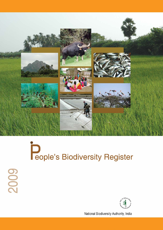

# **D**<br> **Reple's Biodiversity Register**

2009

National Biodiversity Authority, India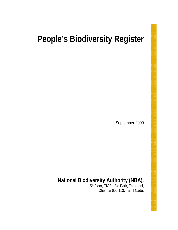# **People's Biodiversity Register**

September 2009

# **National Biodiversity Authority (NBA),**

5th Floor, TICEL Bio Park, Taramani, Chennai 600 113, Tamil Nadu,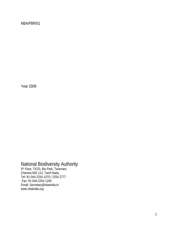## NBA/PBR/01

Year 2009

## National Biodiversity Authority

5<sup>th</sup> Floor, TICEL Bio Park, Taramani, Chennai 600 113, Tamil Nadu, Tel**:** 91-044-2254 1075 / 2254 2777 Fax**:** 91-044-2254 1200 Email: Secretary@nbaindia.in www.nbaindia.org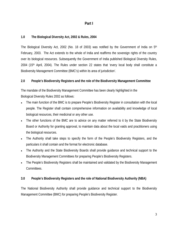## **Part I**

## **1.0 The Biological Diversity Act, 2002 & Rules, 2004**

The Biological Diversity Act, 2002 (No. 18 of 2003) was notified by the Government of India on 5<sup>th</sup> February, 2003. The Act extends to the whole of India and reaffirms the sovereign rights of the country over its biological resources. Subsequently the Government of India published Biological Diversity Rules, 2004 (15th April, 2004). The Rules under section 22 states that 'every local body shall constitute a Biodiversity Management Committee (BMC's) within its area of jurisdiction'.

## **2.0 People's Biodiversity Registers and the role of the Biodiversity Management Committee**

The mandate of the Biodiversity Management Committee has been clearly highlighted in the Biological Diversity Rules 2002 as follows:

- The main function of the BMC is to prepare People's Biodiversity Register in consultation with the local people. The Register shall contain comprehensive information on availability and knowledge of local biological resources, their medicinal or any other use.
- The other functions of the BMC are to advice on any matter referred to it by the State Biodiversity Board or Authority for granting approval, to maintain data about the local vaids and practitioners using the biological resources.
- The Authority shall take steps to specify the form of the People's Biodiversity Registers, and the particulars it shall contain and the format for electronic database.
- The Authority and the State Biodiversity Boards shall provide guidance and technical support to the Biodiversity Management Committees for preparing People's Biodiversity Registers.
- The People's Biodiversity Registers shall be maintained and validated by the Biodiversity Management Committees.

## **3.0 People's Biodiversity Registers and the role of National Biodiversity Authority (NBA)**

The National Biodiversity Authority shall provide guidance and technical support to the Biodiversity Management Committee (BMC) for preparing People's Biodiversity Register.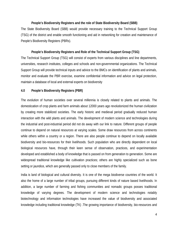#### **People's Biodiversity Registers and the role of State Biodiversity Board (SBB)**

The State Biodiversity Board (SBB) would provide necessary training to the Technical Support Group (TSG) of the district and enable smooth functioning and aid in networking for creation and maintenance of People's Biodiversity Registers (PBRs).

#### **People's Biodiversity Registers and Role of the Technical Support Group (TSG)**

The Technical Support Group (TSG) will consist of experts from various disciplines and line departments, universities, research institutes, colleges and schools and non-governmental organizations. The Technical Support Group will provide technical inputs and advice to the BMCs on identification of plants and animals, monitor and evaluate the PBR exercise, examine confidential information and advice on legal protection, maintain a database of local and external experts on biodiversity

#### **4.0 People's Biodiversity Registers (PBR)**

The evolution of human societies over several millennia is closely related to plants and animals. The domestication of crop plants and farm animals about 12000 years ago revolutionized the human civilization by creating more stabilized societies. The early historic and medieval period gradually reduced human interaction with the wild plants and animals. The development of modern science and technologies during the industrial and post-industrial period did not do away with our link to nature. Different groups of people continue to depend on natural resources at varying scales. Some draw resources from across continents while others within a country or a region. There are also people continue to depend on locally available biodiversity and bio-resources for their livelihoods. Such population who are directly dependent on local biological resources have, through their keen sense of observation, practices, and experimentation developed and established a body of knowledge that is passed on from generation to generation. Some are widespread traditional knowledge like cultivation practices; others are highly specialized such as bone setting or jaundice, which are generally passed only to close members of the family.

India is land of biological and cultural diversity. It is one of the mega biodiverse countries of the world. It also the home of a large number of tribal groups, pursuing different kinds of nature based livelihoods. In addition, a large number of farming and fishing communities and nomadic groups posses traditional knowledge of varying degrees. The development of modern science and technologies notably biotechnology and information technologies have increased the value of biodiversity and associated knowledge including traditional knowledge (TK) .The growing importance of biodiversity, bio-resources and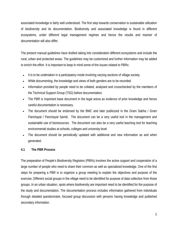associated knowledge is fairly well understood. The first step towards conservation is sustainable utilization of biodiversity and its documentation. Biodiversity and associated knowledge is found in different ecosystems, under different legal management regimes and hence the results and manner of documentation will also differ.

The present manual guidelines have drafted taking into consideration different ecosystems and include the rural, urban and protected areas. The guidelines may be customized and further information may be added to enrich the effort. It is important to keep in mind some of the issues related to PBRs:

- It is to be undertaken in a participatory mode involving varying sections of village society.
- While documenting, the knowledge and views of both genders are to be recorded.
- Information provided by people need to be collated, analysed and crosschecked by the members of the Technical Support Group (TSG) before documentation.
- The PBR is important base document in the legal arena as evidence of prior knowledge and hence careful documentation is necessary.
- The document should be endorsed by the BMC and later publicized in the Gram Sabha / Gram Panchayat / Panchayat Samiti. The document can be a very useful tool in the management and sustainable use of bioresources. The document can also be a very useful teaching tool for teaching environmental studies at schools, colleges and university level
- The document should be periodically updated with additional and new information as and when generated.

## **4.1 The PBR Process**

The preparation of People's Biodiversity Registers (PBRs) involves the active support and cooperation of a large number of people who need to share their common as well as specialized knowledge. One of the first steps for preparing a PBR is to organize a group meeting to explain the objectives and purpose of the exercise. Different social groups in the village need to be identified for purpose of data collection from those groups. In an urban situation, spots where biodiversity are important need to be identified for the purpose of the study and documentation. The documentation process includes information gathered from individuals through detailed questionnaire, focused group discussion with persons having knowledge and published secondary information.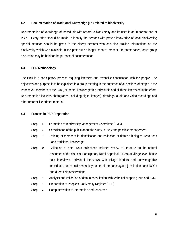## **4.2 Documentation of Traditional Knowledge (TK) related to biodiversity**

Documentation of knowledge of individuals with regard to biodiversity and its uses is an important part of PBR. Every effort should be made to identify the persons with proven knowledge of local biodiversity; special attention should be given to the elderly persons who can also provide informations on the biodiversity which was available in the past but no longer seen at present. In some cases focus group discussion may be held for the purpose of documentation.

#### **4.3 PBR Methodology**

The PBR is a participatory process requiring intensive and extensive consultation with the people. The objectives and purpose is to be explained in a group meeting in the presence of all sections of people in the Panchayat, members of the BMC, students, knowledgeable individuals and all those interested in the effort. Documentation includes photographs (including digital images), drawings, audio and video recordings and other records like printed material.

#### **4.4 Process in PBR Preparation**

- **Step 1:** Formation of Biodiversity Management Committee (BMC)
- **Step 2:** Sensitization of the public about the study, survey and possible management
- **Step 3:** Training of members in identification and collection of data on biological resources and traditional knowledge
- **Step 4:** Collection of data. Data collections includes review of literature on the natural resources of the districts, Participatory Rural Appraisal (PRAs) at village level, house hold interviews, individual interviews with village leaders and knowledgeable individuals, household heads, key actors of the panchayat raj institutions and NGOs and direct field observations
- **Step 5:** Analysis and validation of data in consultation with technical support group and BMC
- **Step 6:** Preparation of People's Biodiversity Register (PBR)
- **Step 7:** Computerization of information and resources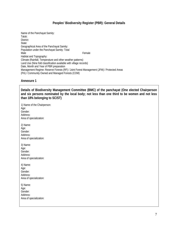#### **Peoples' Biodiversity Register (PBR): General Details**

Name of the Panchayat Samity: Taluk: District: State: Geographical Area of the Panchayat Samity: Population under the Panchayat Samity: Total Male **Male Example 2** Female Habitat and Topography: Climate (Rainfall, Temperature and other weather patterns) Land Use (Nine fold classification available with village records) Date, Month and Year of PBR preparation Management Regime: Reserve Forests (RF) / Joint Forest Management (JFM) / Protected Areas (PA) / Community Owned and Managed Forests (COM)

#### **Annexure 1**

**Details of Biodiversity Management Committee (BMC) of the panchayat (One elected Chairperson and six persons nominated by the local body; not less than one third to be women and not less than 18% belonging to SC/ST)** 

1) Name of the Chairperson: Age: Gender: Address: Area of specialization: 2) Name: Age: Gender: Address: Area of specialization: 3) Name: Age: Gender: Address: Area of specialization: 4) Name: Age: Gender: Address: Area of specialization: 5) Name: Age: Gender: Address: Area of specialization: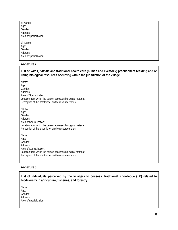| 6) Name:                |  |
|-------------------------|--|
| Age:                    |  |
| Gender:                 |  |
| Address:                |  |
| Area of specialization: |  |
|                         |  |
| 7) Name:                |  |
| Age:                    |  |
| Gender:                 |  |
| Address:                |  |
| Area of specialization: |  |
|                         |  |

#### **Annexure 2**

| List of <i>Vaids, hakims</i> and traditional health care (human and livestock) practitioners residing and or<br>using biological resources occurring within the jurisdiction of the village |
|---------------------------------------------------------------------------------------------------------------------------------------------------------------------------------------------|
| Name:<br>Age:<br>Gender:<br>Address:<br>Area of Specialization:<br>Location from which the person accesses biological material:<br>Perception of the practitioner on the resource status:   |
| Name:<br>Age:<br>Gender:<br>Address:<br>Area of Specialization:<br>Location from which the person accesses biological material:<br>Perception of the practitioner on the resource status:   |
| Name:<br>Age:<br>Gender:<br>Address:<br>Area of Specialization:<br>Location from which the person accesses biological material:<br>Perception of the practitioner on the resource status:   |

## **Annexure 3**

**List of individuals perceived by the villagers to possess Traditional Knowledge (TK) related to biodiversity in agriculture, fisheries, and forestry** 

Name: Age: Gender: Address: Area of specialization: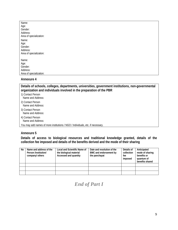| Name:                   |
|-------------------------|
| Age:                    |
| Gender:                 |
| Address:                |
| Area of specialization: |
| Name:                   |
| Age:                    |
| Gender:                 |
| Address:                |
| Area of specialization: |
|                         |
| Name:                   |
| Age:                    |
| Gender:                 |
| Address:                |
| Area of specialization: |

#### **Annexure 4**

**Details of schools, colleges, departments, universities, government institutions, non-governmental organization and individuals involved in the preparation of the PBR** 

- 1) Contact Person
- Name and Address:
- 2) Contact Person Name and Address:
- 
- 3) Contact Person Name and Address:
- 4) Contact Person
- Name and Address:

You may add names of more institutions / NGO / Individuals, etc. if necessary.

#### **Annexure 5**

**Details of access to biological resources and traditional knowledge granted, details of the collection fee imposed and details of the benefits derived and the mode of their sharing** 

| No | Name and address of the<br>Person /institution/<br>company/ others | Local and Scientific Name of<br>the biological material<br>Accessed and quantity | Date and resolution of the<br>BMC and endorsement by<br>the panchayat | Details of<br>collection<br>fee<br>imposed | Anticipated<br>mode of sharing<br>benefits or<br>quantum of<br>benefits shared |
|----|--------------------------------------------------------------------|----------------------------------------------------------------------------------|-----------------------------------------------------------------------|--------------------------------------------|--------------------------------------------------------------------------------|
|    |                                                                    |                                                                                  |                                                                       |                                            |                                                                                |
|    |                                                                    |                                                                                  |                                                                       |                                            |                                                                                |
|    |                                                                    |                                                                                  |                                                                       |                                            |                                                                                |

## *End of Part I*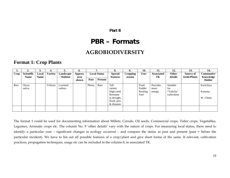## **Part II**

# **PBR – Formats**

# **AGROBIODIVERSITY**

## **Format 1: Crop Plants**

|      | ◠<br>∠.     | J.          | 4.             | 5.        | 6.      |        | −                   | 8.             | 9.       | 10.         | 11.               | 12.         | 13.                 | 14.        |
|------|-------------|-------------|----------------|-----------|---------|--------|---------------------|----------------|----------|-------------|-------------------|-------------|---------------------|------------|
| Crop | Scientific  | Local       | <b>Variety</b> | Landscape | Approx. |        | <b>Local Status</b> | <b>Special</b> | Cropping | <b>Uses</b> | <b>Associated</b> | Other       | Source of           | Community/ |
|      | <b>Name</b> | <b>Name</b> |                | ' Habitat | area    | Past   | <b>Present</b>      | features       | season   |             | TК                | details     | <b>Seeds/Plants</b> | Knowledge  |
|      |             |             |                |           | shown   |        |                     |                |          |             |                   |             |                     | Holder     |
| Rice | Oryza       |             | Veliyan        | Lowland   |         | Plenty | Rare                | Tall           |          | Food        | Provides          | Suitable    |                     | Kurichiya  |
|      | sativa      |             |                | valleys   |         |        |                     | variety        |          | Fodder      | more              | for         |                     |            |
|      |             |             |                |           |         |        |                     | High yield     |          | Roofing     | energy            | "Valicha"   |                     | Kuruma     |
|      |             |             |                |           |         |        |                     | Resistant      |          | Fuel        |                   | cultivation |                     |            |
|      |             |             |                |           |         |        |                     | to drought,    |          |             |                   |             |                     | W. Chetty  |
|      |             |             |                |           |         |        |                     | flood, pest    |          |             |                   |             |                     |            |
|      |             |             |                |           |         |        |                     | & diseases     |          |             |                   |             |                     |            |
|      |             |             |                |           |         |        |                     |                |          |             |                   |             |                     |            |
|      |             |             |                |           |         |        |                     |                |          |             |                   |             |                     |            |

The format 1 could be used for documenting information about Millets, Cereals, Oil seeds, Commercial crops, Tuber crops, Vegetables, Legumes, Aromatic crops etc. The column No. 9 'other details' vary with the nature of crops. For measuring local status, there need to identify a particular year – significant changes in ecology occurred – and compare the status as past and present (past = before the particular incident). We have to list out all possible features of a crop/plant and give short forms of the same. If relevant, cultivation practices, propagation techniques, usage etc can be included in the column 8, in associated TK.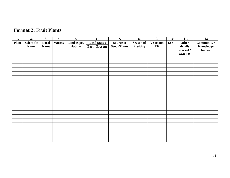## **Format 2: Fruit Plants**

| 1.           | 2.          | 3.          | 4.             | 5.          |      | 6.                  | 7.                  | 8.               | 9.                | 10.         | 11.      | 12.         |
|--------------|-------------|-------------|----------------|-------------|------|---------------------|---------------------|------------------|-------------------|-------------|----------|-------------|
| <b>Plant</b> | Scientific  | Local       | <b>Variety</b> | Landscape / |      | <b>Local Status</b> | Source of           | <b>Season of</b> | <b>Associated</b> | <b>Uses</b> | Other    | Community / |
|              | <b>Name</b> | <b>Name</b> |                | Habitat     | Past | <b>Present</b>      | <b>Seeds/Plants</b> | <b>Fruiting</b>  | TK                |             | details  | Knowledge   |
|              |             |             |                |             |      |                     |                     |                  |                   |             | market / | holder      |
|              |             |             |                |             |      |                     |                     |                  |                   |             | own use  |             |
|              |             |             |                |             |      |                     |                     |                  |                   |             |          |             |
|              |             |             |                |             |      |                     |                     |                  |                   |             |          |             |
|              |             |             |                |             |      |                     |                     |                  |                   |             |          |             |
|              |             |             |                |             |      |                     |                     |                  |                   |             |          |             |
|              |             |             |                |             |      |                     |                     |                  |                   |             |          |             |
|              |             |             |                |             |      |                     |                     |                  |                   |             |          |             |
|              |             |             |                |             |      |                     |                     |                  |                   |             |          |             |
|              |             |             |                |             |      |                     |                     |                  |                   |             |          |             |
|              |             |             |                |             |      |                     |                     |                  |                   |             |          |             |
|              |             |             |                |             |      |                     |                     |                  |                   |             |          |             |
|              |             |             |                |             |      |                     |                     |                  |                   |             |          |             |
|              |             |             |                |             |      |                     |                     |                  |                   |             |          |             |
|              |             |             |                |             |      |                     |                     |                  |                   |             |          |             |
|              |             |             |                |             |      |                     |                     |                  |                   |             |          |             |
|              |             |             |                |             |      |                     |                     |                  |                   |             |          |             |
|              |             |             |                |             |      |                     |                     |                  |                   |             |          |             |
|              |             |             |                |             |      |                     |                     |                  |                   |             |          |             |
|              |             |             |                |             |      |                     |                     |                  |                   |             |          |             |
|              |             |             |                |             |      |                     |                     |                  |                   |             |          |             |
|              |             |             |                |             |      |                     |                     |                  |                   |             |          |             |
|              |             |             |                |             |      |                     |                     |                  |                   |             |          |             |
|              |             |             |                |             |      |                     |                     |                  |                   |             |          |             |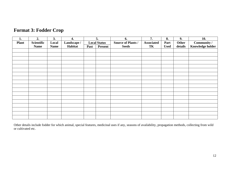| 1.           | 2.          | 3.          | 4.          |      | 5.                  | 6.                        | 7.                | 8.          | 9.      | 10.                     |
|--------------|-------------|-------------|-------------|------|---------------------|---------------------------|-------------------|-------------|---------|-------------------------|
| <b>Plant</b> | Scientific  | Local       | Landscape / |      | <b>Local Status</b> | <b>Source of Plants /</b> | <b>Associated</b> | Part        | Other   | Community /             |
|              | <b>Name</b> | <b>Name</b> | Habitat     | Past | <b>Present</b>      | <b>Seeds</b>              | TK                | <b>Used</b> | details | <b>Knowledge holder</b> |
|              |             |             |             |      |                     |                           |                   |             |         |                         |
|              |             |             |             |      |                     |                           |                   |             |         |                         |
|              |             |             |             |      |                     |                           |                   |             |         |                         |
|              |             |             |             |      |                     |                           |                   |             |         |                         |
|              |             |             |             |      |                     |                           |                   |             |         |                         |
|              |             |             |             |      |                     |                           |                   |             |         |                         |
|              |             |             |             |      |                     |                           |                   |             |         |                         |
|              |             |             |             |      |                     |                           |                   |             |         |                         |
|              |             |             |             |      |                     |                           |                   |             |         |                         |
|              |             |             |             |      |                     |                           |                   |             |         |                         |
|              |             |             |             |      |                     |                           |                   |             |         |                         |
|              |             |             |             |      |                     |                           |                   |             |         |                         |
|              |             |             |             |      |                     |                           |                   |             |         |                         |
|              |             |             |             |      |                     |                           |                   |             |         |                         |
|              |             |             |             |      |                     |                           |                   |             |         |                         |
|              |             |             |             |      |                     |                           |                   |             |         |                         |
|              |             |             |             |      |                     |                           |                   |             |         |                         |
|              |             |             |             |      |                     |                           |                   |             |         |                         |

Other details include fodder for which animal, special features, medicinal uses if any, seasons of availability, propagation methods, collecting from wild or cultivated etc.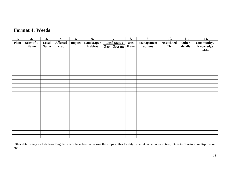## **Format 4: Weeds**

| 1.           | 2.          | 3.          | 4.              | $\overline{5}$ . | 6.          |             | 7.             | 8.     | 9.      | 10. | 11.                 | 12.       |  |  |  |  |  |  |                   |                   |       |             |
|--------------|-------------|-------------|-----------------|------------------|-------------|-------------|----------------|--------|---------|-----|---------------------|-----------|--|--|--|--|--|--|-------------------|-------------------|-------|-------------|
| <b>Plant</b> | Scientific  | Local       | <b>Affected</b> | Impact           | Landscape / |             |                |        |         |     | <b>Local Status</b> |           |  |  |  |  |  |  | <b>Management</b> | <b>Associated</b> | Other | Community / |
|              | <b>Name</b> | <b>Name</b> | crop            |                  | Habitat     | <b>Past</b> | <b>Present</b> | if any | options | TK  | details             | Knowledge |  |  |  |  |  |  |                   |                   |       |             |
|              |             |             |                 |                  |             |             |                |        |         |     |                     | holder    |  |  |  |  |  |  |                   |                   |       |             |
|              |             |             |                 |                  |             |             |                |        |         |     |                     |           |  |  |  |  |  |  |                   |                   |       |             |
|              |             |             |                 |                  |             |             |                |        |         |     |                     |           |  |  |  |  |  |  |                   |                   |       |             |
|              |             |             |                 |                  |             |             |                |        |         |     |                     |           |  |  |  |  |  |  |                   |                   |       |             |
|              |             |             |                 |                  |             |             |                |        |         |     |                     |           |  |  |  |  |  |  |                   |                   |       |             |
|              |             |             |                 |                  |             |             |                |        |         |     |                     |           |  |  |  |  |  |  |                   |                   |       |             |
|              |             |             |                 |                  |             |             |                |        |         |     |                     |           |  |  |  |  |  |  |                   |                   |       |             |
|              |             |             |                 |                  |             |             |                |        |         |     |                     |           |  |  |  |  |  |  |                   |                   |       |             |
|              |             |             |                 |                  |             |             |                |        |         |     |                     |           |  |  |  |  |  |  |                   |                   |       |             |
|              |             |             |                 |                  |             |             |                |        |         |     |                     |           |  |  |  |  |  |  |                   |                   |       |             |
|              |             |             |                 |                  |             |             |                |        |         |     |                     |           |  |  |  |  |  |  |                   |                   |       |             |
|              |             |             |                 |                  |             |             |                |        |         |     |                     |           |  |  |  |  |  |  |                   |                   |       |             |
|              |             |             |                 |                  |             |             |                |        |         |     |                     |           |  |  |  |  |  |  |                   |                   |       |             |
|              |             |             |                 |                  |             |             |                |        |         |     |                     |           |  |  |  |  |  |  |                   |                   |       |             |
|              |             |             |                 |                  |             |             |                |        |         |     |                     |           |  |  |  |  |  |  |                   |                   |       |             |
|              |             |             |                 |                  |             |             |                |        |         |     |                     |           |  |  |  |  |  |  |                   |                   |       |             |
|              |             |             |                 |                  |             |             |                |        |         |     |                     |           |  |  |  |  |  |  |                   |                   |       |             |
|              |             |             |                 |                  |             |             |                |        |         |     |                     |           |  |  |  |  |  |  |                   |                   |       |             |
|              |             |             |                 |                  |             |             |                |        |         |     |                     |           |  |  |  |  |  |  |                   |                   |       |             |
|              |             |             |                 |                  |             |             |                |        |         |     |                     |           |  |  |  |  |  |  |                   |                   |       |             |
|              |             |             |                 |                  |             |             |                |        |         |     |                     |           |  |  |  |  |  |  |                   |                   |       |             |
|              |             |             |                 |                  |             |             |                |        |         |     |                     |           |  |  |  |  |  |  |                   |                   |       |             |
|              |             |             |                 |                  |             |             |                |        |         |     |                     |           |  |  |  |  |  |  |                   |                   |       |             |

Other details may include how long the weeds have been attacking the crops in this locality, when it came under notice, intensity of natural multiplication etc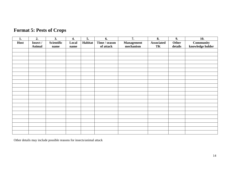| 1.   | 2.            | 3.         | 4.    | $\overline{5}$ . | 6.            | $\overline{7}$ .  | $\overline{\mathbf{8}}$ . | $\overline{9}$ . | 10.              |
|------|---------------|------------|-------|------------------|---------------|-------------------|---------------------------|------------------|------------------|
| Host | Insect /      | Scientific | Local | Habitat          | Time / season | <b>Management</b> | <b>Associated</b>         | Other            | <b>Community</b> |
|      | <b>Animal</b> | name       | name  |                  | of attack     | mechanism         | TK                        | details          | knowledge holder |
|      |               |            |       |                  |               |                   |                           |                  |                  |
|      |               |            |       |                  |               |                   |                           |                  |                  |
|      |               |            |       |                  |               |                   |                           |                  |                  |
|      |               |            |       |                  |               |                   |                           |                  |                  |
|      |               |            |       |                  |               |                   |                           |                  |                  |
|      |               |            |       |                  |               |                   |                           |                  |                  |
|      |               |            |       |                  |               |                   |                           |                  |                  |
|      |               |            |       |                  |               |                   |                           |                  |                  |
|      |               |            |       |                  |               |                   |                           |                  |                  |
|      |               |            |       |                  |               |                   |                           |                  |                  |
|      |               |            |       |                  |               |                   |                           |                  |                  |
|      |               |            |       |                  |               |                   |                           |                  |                  |
|      |               |            |       |                  |               |                   |                           |                  |                  |
|      |               |            |       |                  |               |                   |                           |                  |                  |
|      |               |            |       |                  |               |                   |                           |                  |                  |
|      |               |            |       |                  |               |                   |                           |                  |                  |
|      |               |            |       |                  |               |                   |                           |                  |                  |
|      |               |            |       |                  |               |                   |                           |                  |                  |
|      |               |            |       |                  |               |                   |                           |                  |                  |
|      |               |            |       |                  |               |                   |                           |                  |                  |
|      |               |            |       |                  |               |                   |                           |                  |                  |
|      |               |            |       |                  |               |                   |                           |                  |                  |

# **Format 5: Pests of Crops**

Other details may include possible reasons for insects/animal attack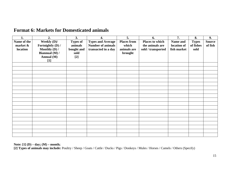| 1.                                     | 2.                                                                                         | 3.                                                        | 4.                                                                          | 5.                                                    | 6.                                                       | 7.                                     | 8.                                | 9.                       |
|----------------------------------------|--------------------------------------------------------------------------------------------|-----------------------------------------------------------|-----------------------------------------------------------------------------|-------------------------------------------------------|----------------------------------------------------------|----------------------------------------|-----------------------------------|--------------------------|
| Name of the<br>market $\&$<br>location | Weekly (D)/<br>Fortnightly (D) /<br>Monthly (D) /<br>Biannual (M) /<br>Annual (M)<br>$[1]$ | <b>Types of</b><br>animals<br>bought and<br>sold<br>$[2]$ | <b>Types and Average</b><br><b>Number of animals</b><br>transacted in a day | <b>Places from</b><br>which<br>animals are<br>brought | Places to which<br>the animals are<br>sold / transported | Name and<br>location of<br>fish market | <b>Types</b><br>of fishes<br>sold | <b>Source</b><br>of fish |
|                                        |                                                                                            |                                                           |                                                                             |                                                       |                                                          |                                        |                                   |                          |
|                                        |                                                                                            |                                                           |                                                                             |                                                       |                                                          |                                        |                                   |                          |
|                                        |                                                                                            |                                                           |                                                                             |                                                       |                                                          |                                        |                                   |                          |
|                                        |                                                                                            |                                                           |                                                                             |                                                       |                                                          |                                        |                                   |                          |
|                                        |                                                                                            |                                                           |                                                                             |                                                       |                                                          |                                        |                                   |                          |
|                                        |                                                                                            |                                                           |                                                                             |                                                       |                                                          |                                        |                                   |                          |
|                                        |                                                                                            |                                                           |                                                                             |                                                       |                                                          |                                        |                                   |                          |
|                                        |                                                                                            |                                                           |                                                                             |                                                       |                                                          |                                        |                                   |                          |
|                                        |                                                                                            |                                                           |                                                                             |                                                       |                                                          |                                        |                                   |                          |
|                                        |                                                                                            |                                                           |                                                                             |                                                       |                                                          |                                        |                                   |                          |
|                                        |                                                                                            |                                                           |                                                                             |                                                       |                                                          |                                        |                                   |                          |
|                                        |                                                                                            |                                                           |                                                                             |                                                       |                                                          |                                        |                                   |                          |
|                                        |                                                                                            |                                                           |                                                                             |                                                       |                                                          |                                        |                                   |                          |
|                                        |                                                                                            |                                                           |                                                                             |                                                       |                                                          |                                        |                                   |                          |
|                                        |                                                                                            |                                                           |                                                                             |                                                       |                                                          |                                        |                                   |                          |
|                                        |                                                                                            |                                                           |                                                                             |                                                       |                                                          |                                        |                                   |                          |
|                                        |                                                                                            |                                                           |                                                                             |                                                       |                                                          |                                        |                                   |                          |
|                                        |                                                                                            |                                                           |                                                                             |                                                       |                                                          |                                        |                                   |                          |
|                                        |                                                                                            |                                                           |                                                                             |                                                       |                                                          |                                        |                                   |                          |

## **Format 6: Markets for Domesticated animals**

**Note: [1] (D) – day; (M) – month;** 

**[2] Types of animals may include:** Poultry / Sheep / Goats / Cattle / Ducks / Pigs / Donkeys / Mules / Horses / Camels / Others (Specify)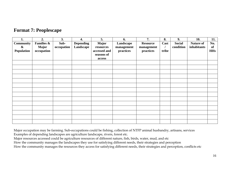|  | <b>Format 7: Peoplescape</b> |  |
|--|------------------------------|--|
|--|------------------------------|--|

| 1.               | 2.                    | 3.         | 4.               | 5.           | 6.         | 7.              | 8.    | 9.            | 10.              | 11.        |
|------------------|-----------------------|------------|------------------|--------------|------------|-----------------|-------|---------------|------------------|------------|
| <b>Community</b> | <b>Families &amp;</b> | Sub-       | <b>Depending</b> | <b>Major</b> | Landscape  | <b>Resource</b> | Cast  | <b>Social</b> | <b>Nature of</b> | No.        |
| $\pmb{\&}$       | <b>Major</b>          | occupation | Landscape        | resources    | management | management      |       | condition     | inhabitants      | of         |
| Population       | occupation            |            |                  | accessed and | practices  | practices       | tribe |               |                  | <b>HHs</b> |
|                  |                       |            |                  | seasons of   |            |                 |       |               |                  |            |
|                  |                       |            |                  | access       |            |                 |       |               |                  |            |
|                  |                       |            |                  |              |            |                 |       |               |                  |            |
|                  |                       |            |                  |              |            |                 |       |               |                  |            |
|                  |                       |            |                  |              |            |                 |       |               |                  |            |
|                  |                       |            |                  |              |            |                 |       |               |                  |            |
|                  |                       |            |                  |              |            |                 |       |               |                  |            |
|                  |                       |            |                  |              |            |                 |       |               |                  |            |
|                  |                       |            |                  |              |            |                 |       |               |                  |            |
|                  |                       |            |                  |              |            |                 |       |               |                  |            |
|                  |                       |            |                  |              |            |                 |       |               |                  |            |
|                  |                       |            |                  |              |            |                 |       |               |                  |            |
|                  |                       |            |                  |              |            |                 |       |               |                  |            |
|                  |                       |            |                  |              |            |                 |       |               |                  |            |
|                  |                       |            |                  |              |            |                 |       |               |                  |            |
|                  |                       |            |                  |              |            |                 |       |               |                  |            |

Major occupation may be farming. Sub-occupations could be fishing, collection of NTFP animal husbandry, artisans, services

Examples of depending landscapes are agriculture landscape, rivers, forest etc.

Major resources accessed could be agriculture resources of different nature, fish, birds, water, mud, and etc

How the community manages the landscapes they use for satisfying different needs, their strategies and perception

How the community manages the resources they access for satisfying different needs, their strategies and perception, conflicts etc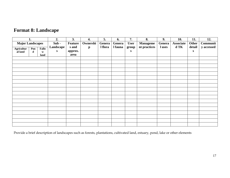# **Format 8: Landscape**

|                         | 1.  |       | 2.        | 3.             | 4.           | 5.      | 6.      | 7.          | 8.              | 9.     | 10.              | 11.    | 12.        |
|-------------------------|-----|-------|-----------|----------------|--------------|---------|---------|-------------|-----------------|--------|------------------|--------|------------|
| <b>Major Landscapes</b> |     |       | Sub-      | <b>Feature</b> | Ownershi     | Genera  | Genera  | <b>User</b> | <b>Manageme</b> | Genera | <b>Associate</b> | Other  | Communit   |
| Agricultur              | Pon | Fallo | Landscape | s and          | $\mathbf{p}$ | l flora | l fauna | group       | nt practices    | l uses | d TK             | detail | y accessed |
| al land                 | d   | W     | S         | approx.        |              |         |         | ${\bf S}$   |                 |        |                  | S      |            |
|                         |     | land  |           | area           |              |         |         |             |                 |        |                  |        |            |
|                         |     |       |           |                |              |         |         |             |                 |        |                  |        |            |
|                         |     |       |           |                |              |         |         |             |                 |        |                  |        |            |
|                         |     |       |           |                |              |         |         |             |                 |        |                  |        |            |
|                         |     |       |           |                |              |         |         |             |                 |        |                  |        |            |
|                         |     |       |           |                |              |         |         |             |                 |        |                  |        |            |
|                         |     |       |           |                |              |         |         |             |                 |        |                  |        |            |
|                         |     |       |           |                |              |         |         |             |                 |        |                  |        |            |
|                         |     |       |           |                |              |         |         |             |                 |        |                  |        |            |
|                         |     |       |           |                |              |         |         |             |                 |        |                  |        |            |
|                         |     |       |           |                |              |         |         |             |                 |        |                  |        |            |
|                         |     |       |           |                |              |         |         |             |                 |        |                  |        |            |
|                         |     |       |           |                |              |         |         |             |                 |        |                  |        |            |
|                         |     |       |           |                |              |         |         |             |                 |        |                  |        |            |
|                         |     |       |           |                |              |         |         |             |                 |        |                  |        |            |
|                         |     |       |           |                |              |         |         |             |                 |        |                  |        |            |
|                         |     |       |           |                |              |         |         |             |                 |        |                  |        |            |
|                         |     |       |           |                |              |         |         |             |                 |        |                  |        |            |
|                         |     |       |           |                |              |         |         |             |                 |        |                  |        |            |

Provide a brief description of landscapes such as forests, plantations, cultivated land, estuary, pond, lake or other elements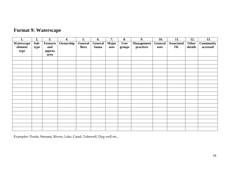# **Format 9: Waterscape**

| 1.         | 2.   | 3.              | 4.        | 5.      | 6.      | 7.           | 8.          | 9.         | 10.            | 11.        | 12.     | 13.              |
|------------|------|-----------------|-----------|---------|---------|--------------|-------------|------------|----------------|------------|---------|------------------|
| Waterscape | Sub- | <b>Features</b> | Ownership | General | General | <b>Major</b> | <b>User</b> | Management | <b>General</b> | Associated | Other   | <b>Community</b> |
| element    | type | and             |           | flora   | fauna   | uses         | groups      | practices  | uses           | TK         | details | accessed         |
| type       |      | approx          |           |         |         |              |             |            |                |            |         |                  |
|            |      | area            |           |         |         |              |             |            |                |            |         |                  |
|            |      |                 |           |         |         |              |             |            |                |            |         |                  |
|            |      |                 |           |         |         |              |             |            |                |            |         |                  |
|            |      |                 |           |         |         |              |             |            |                |            |         |                  |
|            |      |                 |           |         |         |              |             |            |                |            |         |                  |
|            |      |                 |           |         |         |              |             |            |                |            |         |                  |
|            |      |                 |           |         |         |              |             |            |                |            |         |                  |
|            |      |                 |           |         |         |              |             |            |                |            |         |                  |
|            |      |                 |           |         |         |              |             |            |                |            |         |                  |
|            |      |                 |           |         |         |              |             |            |                |            |         |                  |
|            |      |                 |           |         |         |              |             |            |                |            |         |                  |
|            |      |                 |           |         |         |              |             |            |                |            |         |                  |
|            |      |                 |           |         |         |              |             |            |                |            |         |                  |
|            |      |                 |           |         |         |              |             |            |                |            |         |                  |
|            |      |                 |           |         |         |              |             |            |                |            |         |                  |
|            |      |                 |           |         |         |              |             |            |                |            |         |                  |
|            |      |                 |           |         |         |              |             |            |                |            |         |                  |
|            |      |                 |           |         |         |              |             |            |                |            |         |                  |
|            |      |                 |           |         |         |              |             |            |                |            |         |                  |
|            |      |                 |           |         |         |              |             |            |                |            |         |                  |

Examples: Ponds, Streams, Rivers, Lake, Canal, Tubewell, Dug well etc.,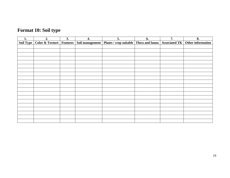# **Format 10: Soil type**

| 1.        | 2.                                    | 3. | 4.              | 5.                                                                           | 6. | 7. | 8. |
|-----------|---------------------------------------|----|-----------------|------------------------------------------------------------------------------|----|----|----|
| Soil Type | <b>Color &amp; Texture   Features</b> |    | Soil management | Plants / crop suitable   Flora and fauna   Associated TK   Other information |    |    |    |
|           |                                       |    |                 |                                                                              |    |    |    |
|           |                                       |    |                 |                                                                              |    |    |    |
|           |                                       |    |                 |                                                                              |    |    |    |
|           |                                       |    |                 |                                                                              |    |    |    |
|           |                                       |    |                 |                                                                              |    |    |    |
|           |                                       |    |                 |                                                                              |    |    |    |
|           |                                       |    |                 |                                                                              |    |    |    |
|           |                                       |    |                 |                                                                              |    |    |    |
|           |                                       |    |                 |                                                                              |    |    |    |
|           |                                       |    |                 |                                                                              |    |    |    |
|           |                                       |    |                 |                                                                              |    |    |    |
|           |                                       |    |                 |                                                                              |    |    |    |
|           |                                       |    |                 |                                                                              |    |    |    |
|           |                                       |    |                 |                                                                              |    |    |    |
|           |                                       |    |                 |                                                                              |    |    |    |
|           |                                       |    |                 |                                                                              |    |    |    |
|           |                                       |    |                 |                                                                              |    |    |    |
|           |                                       |    |                 |                                                                              |    |    |    |
|           |                                       |    |                 |                                                                              |    |    |    |
|           |                                       |    |                 |                                                                              |    |    |    |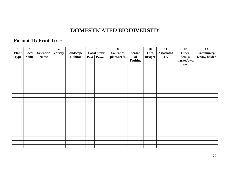# **DOMESTICATED BIODIVERSITY**

## **Format 11: Fruit Trees**

| $\mathbf{1}$ | $\boldsymbol{2}$ | $\overline{\mathbf{3}}$ | $\overline{\mathbf{4}}$ | 6          |                     | $\overline{7}$ | 8           | 9             | <b>10</b>   | 11         | 12         | 13           |
|--------------|------------------|-------------------------|-------------------------|------------|---------------------|----------------|-------------|---------------|-------------|------------|------------|--------------|
| <b>Plant</b> | Local            | Scientific              | <b>Variety</b>          | Landscape/ | <b>Local Status</b> |                | Source of   | <b>Season</b> | <b>Uses</b> | Associated | Other      | Community/   |
| <b>Type</b>  | <b>Name</b>      | <b>Name</b>             |                         | Habitat    |                     | Past   Present | plant/seeds | of            | (usage)     | TK         | details    | Know. holder |
|              |                  |                         |                         |            |                     |                |             | Fruiting      |             |            | market/own |              |
|              |                  |                         |                         |            |                     |                |             |               |             |            | use        |              |
|              |                  |                         |                         |            |                     |                |             |               |             |            |            |              |
|              |                  |                         |                         |            |                     |                |             |               |             |            |            |              |
|              |                  |                         |                         |            |                     |                |             |               |             |            |            |              |
|              |                  |                         |                         |            |                     |                |             |               |             |            |            |              |
|              |                  |                         |                         |            |                     |                |             |               |             |            |            |              |
|              |                  |                         |                         |            |                     |                |             |               |             |            |            |              |
|              |                  |                         |                         |            |                     |                |             |               |             |            |            |              |
|              |                  |                         |                         |            |                     |                |             |               |             |            |            |              |
|              |                  |                         |                         |            |                     |                |             |               |             |            |            |              |
|              |                  |                         |                         |            |                     |                |             |               |             |            |            |              |
|              |                  |                         |                         |            |                     |                |             |               |             |            |            |              |
|              |                  |                         |                         |            |                     |                |             |               |             |            |            |              |
|              |                  |                         |                         |            |                     |                |             |               |             |            |            |              |
|              |                  |                         |                         |            |                     |                |             |               |             |            |            |              |
|              |                  |                         |                         |            |                     |                |             |               |             |            |            |              |
|              |                  |                         |                         |            |                     |                |             |               |             |            |            |              |
|              |                  |                         |                         |            |                     |                |             |               |             |            |            |              |
|              |                  |                         |                         |            |                     |                |             |               |             |            |            |              |
|              |                  |                         |                         |            |                     |                |             |               |             |            |            |              |
|              |                  |                         |                         |            |                     |                |             |               |             |            |            |              |
|              |                  |                         |                         |            |                     |                |             |               |             |            |            |              |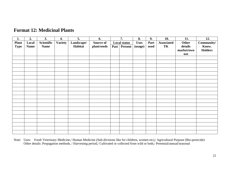| 1.           | 2.          | 3.          | 4.             | 5.         | 6.               | 7.                  | 8.          | 9.   | 10.               | 11.        | 12.            |
|--------------|-------------|-------------|----------------|------------|------------------|---------------------|-------------|------|-------------------|------------|----------------|
| <b>Plant</b> | Local       | Scientific  | <b>Variety</b> | Landscape/ | <b>Source of</b> | <b>Local status</b> | <b>Uses</b> | Part | <b>Associated</b> | Other      | Community/     |
| <b>Type</b>  | <b>Name</b> | <b>Name</b> |                | Habitat    | plant/seeds      | Past   Present      | (usage)     | used | TK                | details    | Know.          |
|              |             |             |                |            |                  |                     |             |      |                   | market/own | <b>Holders</b> |
|              |             |             |                |            |                  |                     |             |      |                   | use        |                |
|              |             |             |                |            |                  |                     |             |      |                   |            |                |
|              |             |             |                |            |                  |                     |             |      |                   |            |                |
|              |             |             |                |            |                  |                     |             |      |                   |            |                |
|              |             |             |                |            |                  |                     |             |      |                   |            |                |
|              |             |             |                |            |                  |                     |             |      |                   |            |                |
|              |             |             |                |            |                  |                     |             |      |                   |            |                |
|              |             |             |                |            |                  |                     |             |      |                   |            |                |
|              |             |             |                |            |                  |                     |             |      |                   |            |                |
|              |             |             |                |            |                  |                     |             |      |                   |            |                |
|              |             |             |                |            |                  |                     |             |      |                   |            |                |
|              |             |             |                |            |                  |                     |             |      |                   |            |                |
|              |             |             |                |            |                  |                     |             |      |                   |            |                |
|              |             |             |                |            |                  |                     |             |      |                   |            |                |
|              |             |             |                |            |                  |                     |             |      |                   |            |                |
|              |             |             |                |            |                  |                     |             |      |                   |            |                |
|              |             |             |                |            |                  |                     |             |      |                   |            |                |
|              |             |             |                |            |                  |                     |             |      |                   |            |                |
|              |             |             |                |            |                  |                     |             |      |                   |            |                |
|              |             |             |                |            |                  |                     |             |      |                   |            |                |
|              |             |             |                |            |                  |                     |             |      |                   |            |                |

## **Format 12: Medicinal Plants**

Note: Uses: Food/ Veterinary Medicine,/ Human Medicine (Sub-divisions like for children, women etc),/ Agricultural Purpose (Bio-pesticide) Other details: Propagation methods, / Harvesting period,/ Cultivated or collected from wild or both,/ Perennial/annual/seasonal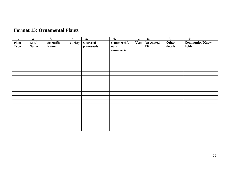| 1.                   | 2.                   | 3.                        | 4.             | 5.                              | 6.                                | 7.          | 8.                      | 9.               | <b>10.</b>                |
|----------------------|----------------------|---------------------------|----------------|---------------------------------|-----------------------------------|-------------|-------------------------|------------------|---------------------------|
| Plant<br><b>Type</b> | Local<br><b>Name</b> | Scientific<br><b>Name</b> | <b>Variety</b> | <b>Source of</b><br>plant/seeds | Commercial/<br>non-<br>commercial | <b>Uses</b> | <b>Associated</b><br>TK | Other<br>details | Community/Know.<br>holder |
|                      |                      |                           |                |                                 |                                   |             |                         |                  |                           |
|                      |                      |                           |                |                                 |                                   |             |                         |                  |                           |
|                      |                      |                           |                |                                 |                                   |             |                         |                  |                           |
|                      |                      |                           |                |                                 |                                   |             |                         |                  |                           |
|                      |                      |                           |                |                                 |                                   |             |                         |                  |                           |
|                      |                      |                           |                |                                 |                                   |             |                         |                  |                           |
|                      |                      |                           |                |                                 |                                   |             |                         |                  |                           |
|                      |                      |                           |                |                                 |                                   |             |                         |                  |                           |
|                      |                      |                           |                |                                 |                                   |             |                         |                  |                           |
|                      |                      |                           |                |                                 |                                   |             |                         |                  |                           |
|                      |                      |                           |                |                                 |                                   |             |                         |                  |                           |
|                      |                      |                           |                |                                 |                                   |             |                         |                  |                           |
|                      |                      |                           |                |                                 |                                   |             |                         |                  |                           |
|                      |                      |                           |                |                                 |                                   |             |                         |                  |                           |
|                      |                      |                           |                |                                 |                                   |             |                         |                  |                           |
|                      |                      |                           |                |                                 |                                   |             |                         |                  |                           |
|                      |                      |                           |                |                                 |                                   |             |                         |                  |                           |
|                      |                      |                           |                |                                 |                                   |             |                         |                  |                           |
|                      |                      |                           |                |                                 |                                   |             |                         |                  |                           |
|                      |                      |                           |                |                                 |                                   |             |                         |                  |                           |

# **Format 13: Ornamental Plants**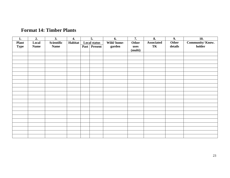|  | <b>Format 14: Timber Plants</b> |
|--|---------------------------------|
|--|---------------------------------|

| 1.                          | 2.                   | 3.                        | 4.      | 5. |                                     | 6.                   | 7.            | 8.                      | 9.               | 10.                       |
|-----------------------------|----------------------|---------------------------|---------|----|-------------------------------------|----------------------|---------------|-------------------------|------------------|---------------------------|
| <b>Plant</b><br><b>Type</b> | Local<br><b>Name</b> | Scientific<br><b>Name</b> | Habitat |    | <b>Local status</b><br>Past Present | Wild/home-<br>garden | Other<br>uses | <b>Associated</b><br>TK | Other<br>details | Community/Know.<br>holder |
|                             |                      |                           |         |    |                                     |                      | (multi)       |                         |                  |                           |
|                             |                      |                           |         |    |                                     |                      |               |                         |                  |                           |
|                             |                      |                           |         |    |                                     |                      |               |                         |                  |                           |
|                             |                      |                           |         |    |                                     |                      |               |                         |                  |                           |
|                             |                      |                           |         |    |                                     |                      |               |                         |                  |                           |
|                             |                      |                           |         |    |                                     |                      |               |                         |                  |                           |
|                             |                      |                           |         |    |                                     |                      |               |                         |                  |                           |
|                             |                      |                           |         |    |                                     |                      |               |                         |                  |                           |
|                             |                      |                           |         |    |                                     |                      |               |                         |                  |                           |
|                             |                      |                           |         |    |                                     |                      |               |                         |                  |                           |
|                             |                      |                           |         |    |                                     |                      |               |                         |                  |                           |
|                             |                      |                           |         |    |                                     |                      |               |                         |                  |                           |
|                             |                      |                           |         |    |                                     |                      |               |                         |                  |                           |
|                             |                      |                           |         |    |                                     |                      |               |                         |                  |                           |
|                             |                      |                           |         |    |                                     |                      |               |                         |                  |                           |
|                             |                      |                           |         |    |                                     |                      |               |                         |                  |                           |
|                             |                      |                           |         |    |                                     |                      |               |                         |                  |                           |
|                             |                      |                           |         |    |                                     |                      |               |                         |                  |                           |
|                             |                      |                           |         |    |                                     |                      |               |                         |                  |                           |
|                             |                      |                           |         |    |                                     |                      |               |                         |                  |                           |
|                             |                      |                           |         |    |                                     |                      |               |                         |                  |                           |
|                             |                      |                           |         |    |                                     |                      |               |                         |                  |                           |
|                             |                      |                           |         |    |                                     |                      |               |                         |                  |                           |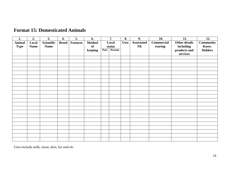| 1.            | 2.          | 3.          | 4.           | 5.              | 6.      | 7.   |                      | 8. | 9.                | 10.               | 11.                  | 12.            |
|---------------|-------------|-------------|--------------|-----------------|---------|------|----------------------|----|-------------------|-------------------|----------------------|----------------|
| <b>Animal</b> | Local       | Scientific  | <b>Breed</b> | <b>Features</b> | Method  |      | Local<br><b>Uses</b> |    | <b>Associated</b> | <b>Commercial</b> | <b>Other details</b> | Community      |
| <b>Type</b>   | <b>Name</b> | <b>Name</b> |              |                 | of      |      | status               |    | TK                | rearing           | including            | Know.          |
|               |             |             |              |                 | keeping | Past | Present              |    |                   |                   | products and         | <b>Holders</b> |
|               |             |             |              |                 |         |      |                      |    |                   |                   | services             |                |
|               |             |             |              |                 |         |      |                      |    |                   |                   |                      |                |
|               |             |             |              |                 |         |      |                      |    |                   |                   |                      |                |
|               |             |             |              |                 |         |      |                      |    |                   |                   |                      |                |
|               |             |             |              |                 |         |      |                      |    |                   |                   |                      |                |
|               |             |             |              |                 |         |      |                      |    |                   |                   |                      |                |
|               |             |             |              |                 |         |      |                      |    |                   |                   |                      |                |
|               |             |             |              |                 |         |      |                      |    |                   |                   |                      |                |
|               |             |             |              |                 |         |      |                      |    |                   |                   |                      |                |
|               |             |             |              |                 |         |      |                      |    |                   |                   |                      |                |
|               |             |             |              |                 |         |      |                      |    |                   |                   |                      |                |
|               |             |             |              |                 |         |      |                      |    |                   |                   |                      |                |
|               |             |             |              |                 |         |      |                      |    |                   |                   |                      |                |
|               |             |             |              |                 |         |      |                      |    |                   |                   |                      |                |
|               |             |             |              |                 |         |      |                      |    |                   |                   |                      |                |
|               |             |             |              |                 |         |      |                      |    |                   |                   |                      |                |
|               |             |             |              |                 |         |      |                      |    |                   |                   |                      |                |
|               |             |             |              |                 |         |      |                      |    |                   |                   |                      |                |
|               |             |             |              |                 |         |      |                      |    |                   |                   |                      |                |
|               |             |             |              |                 |         |      |                      |    |                   |                   |                      |                |
|               |             |             |              |                 |         |      |                      |    |                   |                   |                      |                |
|               |             |             |              |                 |         |      |                      |    |                   |                   |                      |                |
|               |             |             |              |                 |         |      |                      |    |                   |                   |                      |                |

## **Format 15: Domesticated Animals**

Uses include milk, meat, skin, fur and etc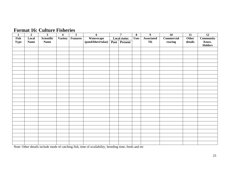## **Format 16: Culture Fisheries**

| $\mathbf{1}$ | $\boldsymbol{2}$ | $\overline{\mathbf{3}}$ | $\overline{\mathbf{4}}$ | $\overline{\mathbf{5}}$ | $\boldsymbol{6}$   | $\overline{7}$                     |  | $\boldsymbol{9}$  | $\overline{10}$   | 11      | $\overline{12}$  |
|--------------|------------------|-------------------------|-------------------------|-------------------------|--------------------|------------------------------------|--|-------------------|-------------------|---------|------------------|
| Fish         | Local            | Scientific              | Variety                 | <b>Features</b>         | Waterscape         | <b>Local status</b><br><b>Uses</b> |  | <b>Associated</b> | <b>Commercial</b> | Other   | <b>Community</b> |
| <b>Type</b>  | <b>Name</b>      | <b>Name</b>             |                         |                         | (pond/bheri/talao) | Past Present                       |  | TK                | rearing           | details | Know.            |
|              |                  |                         |                         |                         |                    |                                    |  |                   |                   |         | <b>Holders</b>   |
|              |                  |                         |                         |                         |                    |                                    |  |                   |                   |         |                  |
|              |                  |                         |                         |                         |                    |                                    |  |                   |                   |         |                  |
|              |                  |                         |                         |                         |                    |                                    |  |                   |                   |         |                  |
|              |                  |                         |                         |                         |                    |                                    |  |                   |                   |         |                  |
|              |                  |                         |                         |                         |                    |                                    |  |                   |                   |         |                  |
|              |                  |                         |                         |                         |                    |                                    |  |                   |                   |         |                  |
|              |                  |                         |                         |                         |                    |                                    |  |                   |                   |         |                  |
|              |                  |                         |                         |                         |                    |                                    |  |                   |                   |         |                  |
|              |                  |                         |                         |                         |                    |                                    |  |                   |                   |         |                  |
|              |                  |                         |                         |                         |                    |                                    |  |                   |                   |         |                  |
|              |                  |                         |                         |                         |                    |                                    |  |                   |                   |         |                  |
|              |                  |                         |                         |                         |                    |                                    |  |                   |                   |         |                  |
|              |                  |                         |                         |                         |                    |                                    |  |                   |                   |         |                  |
|              |                  |                         |                         |                         |                    |                                    |  |                   |                   |         |                  |
|              |                  |                         |                         |                         |                    |                                    |  |                   |                   |         |                  |
|              |                  |                         |                         |                         |                    |                                    |  |                   |                   |         |                  |
|              |                  |                         |                         |                         |                    |                                    |  |                   |                   |         |                  |
|              |                  |                         |                         |                         |                    |                                    |  |                   |                   |         |                  |
|              |                  |                         |                         |                         |                    |                                    |  |                   |                   |         |                  |
|              |                  |                         |                         |                         |                    |                                    |  |                   |                   |         |                  |
|              |                  |                         |                         |                         |                    |                                    |  |                   |                   |         |                  |
|              |                  |                         |                         |                         |                    |                                    |  |                   |                   |         |                  |
|              |                  |                         |                         |                         |                    |                                    |  |                   |                   |         |                  |
|              |                  |                         |                         |                         |                    |                                    |  |                   |                   |         |                  |
|              |                  |                         |                         |                         |                    |                                    |  |                   |                   |         |                  |

Note: Other details include mode of catching fish, time of availability, breeding time, feeds and etc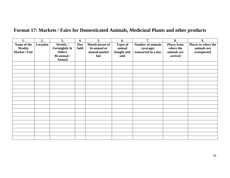# **Format 17: Markets / Fairs for Domesticated Animals, Medicinal Plants and other products**

| 1.                    | 2.       | 3.                        | 4.          | 5.                              | 6.                        | 7.                                    | 8.                              | 9.                                 |
|-----------------------|----------|---------------------------|-------------|---------------------------------|---------------------------|---------------------------------------|---------------------------------|------------------------------------|
| Name of the<br>Weekly | Location | Weekly /<br>Fortnightly & | Day<br>held | Month incase of<br>bi-annual or | <b>Types of</b><br>animal | <b>Number of animals</b><br>(average) | <b>Places from</b><br>where the | Places to where the<br>animals are |
| Market / Fair         |          | <b>Others</b>             |             | annual market                   | bought and                | transacted in a day                   | animals are                     | transported                        |
|                       |          | Bi-annual /               |             | fair                            | sold                      |                                       | arrived                         |                                    |
|                       |          | <b>Annual</b>             |             |                                 |                           |                                       |                                 |                                    |
|                       |          |                           |             |                                 |                           |                                       |                                 |                                    |
|                       |          |                           |             |                                 |                           |                                       |                                 |                                    |
|                       |          |                           |             |                                 |                           |                                       |                                 |                                    |
|                       |          |                           |             |                                 |                           |                                       |                                 |                                    |
|                       |          |                           |             |                                 |                           |                                       |                                 |                                    |
|                       |          |                           |             |                                 |                           |                                       |                                 |                                    |
|                       |          |                           |             |                                 |                           |                                       |                                 |                                    |
|                       |          |                           |             |                                 |                           |                                       |                                 |                                    |
|                       |          |                           |             |                                 |                           |                                       |                                 |                                    |
|                       |          |                           |             |                                 |                           |                                       |                                 |                                    |
|                       |          |                           |             |                                 |                           |                                       |                                 |                                    |
|                       |          |                           |             |                                 |                           |                                       |                                 |                                    |
|                       |          |                           |             |                                 |                           |                                       |                                 |                                    |
|                       |          |                           |             |                                 |                           |                                       |                                 |                                    |
|                       |          |                           |             |                                 |                           |                                       |                                 |                                    |
|                       |          |                           |             |                                 |                           |                                       |                                 |                                    |
|                       |          |                           |             |                                 |                           |                                       |                                 |                                    |
|                       |          |                           |             |                                 |                           |                                       |                                 |                                    |
|                       |          |                           |             |                                 |                           |                                       |                                 |                                    |
|                       |          |                           |             |                                 |                           |                                       |                                 |                                    |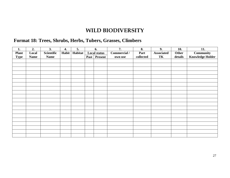# **WILD BIODIVERSITY**

# **Format 18: Trees, Shrubs, Herbs, Tubers, Grasses, Climbers**

| 1.           | 2.          | 3.                | 4.    | 5.      |      | 6.                  | 7.           | 8.        | 9.                | 10.     | 11.                     |
|--------------|-------------|-------------------|-------|---------|------|---------------------|--------------|-----------|-------------------|---------|-------------------------|
| <b>Plant</b> | Local       | <b>Scientific</b> | Habit | Habitat |      | <b>Local status</b> | Commercial / | Part      | <b>Associated</b> | Other   | <b>Community</b>        |
| <b>Type</b>  | <b>Name</b> | <b>Name</b>       |       |         | Past | <b>Present</b>      | own use      | collected | TK                | details | <b>Knowledge Holder</b> |
|              |             |                   |       |         |      |                     |              |           |                   |         |                         |
|              |             |                   |       |         |      |                     |              |           |                   |         |                         |
|              |             |                   |       |         |      |                     |              |           |                   |         |                         |
|              |             |                   |       |         |      |                     |              |           |                   |         |                         |
|              |             |                   |       |         |      |                     |              |           |                   |         |                         |
|              |             |                   |       |         |      |                     |              |           |                   |         |                         |
|              |             |                   |       |         |      |                     |              |           |                   |         |                         |
|              |             |                   |       |         |      |                     |              |           |                   |         |                         |
|              |             |                   |       |         |      |                     |              |           |                   |         |                         |
|              |             |                   |       |         |      |                     |              |           |                   |         |                         |
|              |             |                   |       |         |      |                     |              |           |                   |         |                         |
|              |             |                   |       |         |      |                     |              |           |                   |         |                         |
|              |             |                   |       |         |      |                     |              |           |                   |         |                         |
|              |             |                   |       |         |      |                     |              |           |                   |         |                         |
|              |             |                   |       |         |      |                     |              |           |                   |         |                         |
|              |             |                   |       |         |      |                     |              |           |                   |         |                         |
|              |             |                   |       |         |      |                     |              |           |                   |         |                         |
|              |             |                   |       |         |      |                     |              |           |                   |         |                         |
|              |             |                   |       |         |      |                     |              |           |                   |         |                         |
|              |             |                   |       |         |      |                     |              |           |                   |         |                         |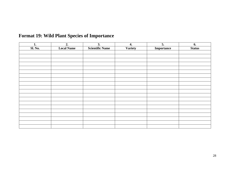| 1.             | 2.                | 3.                     | 4.             | 5.         | 6.            |
|----------------|-------------------|------------------------|----------------|------------|---------------|
| <b>Sl. No.</b> | <b>Local Name</b> | <b>Scientific Name</b> | <b>Variety</b> | Importance | <b>Status</b> |
|                |                   |                        |                |            |               |
|                |                   |                        |                |            |               |
|                |                   |                        |                |            |               |
|                |                   |                        |                |            |               |
|                |                   |                        |                |            |               |
|                |                   |                        |                |            |               |
|                |                   |                        |                |            |               |
|                |                   |                        |                |            |               |
|                |                   |                        |                |            |               |
|                |                   |                        |                |            |               |
|                |                   |                        |                |            |               |
|                |                   |                        |                |            |               |
|                |                   |                        |                |            |               |
|                |                   |                        |                |            |               |
|                |                   |                        |                |            |               |
|                |                   |                        |                |            |               |
|                |                   |                        |                |            |               |
|                |                   |                        |                |            |               |
|                |                   |                        |                |            |               |
|                |                   |                        |                |            |               |

# **Format 19: Wild Plant Species of Importance**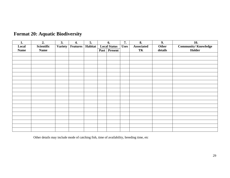| 1.          | 2.          | 3.             | 4.              | 5.      |      | 6.                                 | 7. | 8.                | 9.      | 10.                        |
|-------------|-------------|----------------|-----------------|---------|------|------------------------------------|----|-------------------|---------|----------------------------|
| Local       | Scientific  | <b>Variety</b> | <b>Features</b> | Habitat |      | <b>Local Status</b><br><b>Uses</b> |    | <b>Associated</b> | Other   | <b>Community/Knowledge</b> |
| <b>Name</b> | <b>Name</b> |                |                 |         | Past | Present                            |    | TK                | details | Holder                     |
|             |             |                |                 |         |      |                                    |    |                   |         |                            |
|             |             |                |                 |         |      |                                    |    |                   |         |                            |
|             |             |                |                 |         |      |                                    |    |                   |         |                            |
|             |             |                |                 |         |      |                                    |    |                   |         |                            |
|             |             |                |                 |         |      |                                    |    |                   |         |                            |
|             |             |                |                 |         |      |                                    |    |                   |         |                            |
|             |             |                |                 |         |      |                                    |    |                   |         |                            |
|             |             |                |                 |         |      |                                    |    |                   |         |                            |
|             |             |                |                 |         |      |                                    |    |                   |         |                            |
|             |             |                |                 |         |      |                                    |    |                   |         |                            |
|             |             |                |                 |         |      |                                    |    |                   |         |                            |
|             |             |                |                 |         |      |                                    |    |                   |         |                            |
|             |             |                |                 |         |      |                                    |    |                   |         |                            |
|             |             |                |                 |         |      |                                    |    |                   |         |                            |
|             |             |                |                 |         |      |                                    |    |                   |         |                            |
|             |             |                |                 |         |      |                                    |    |                   |         |                            |
|             |             |                |                 |         |      |                                    |    |                   |         |                            |
|             |             |                |                 |         |      |                                    |    |                   |         |                            |
|             |             |                |                 |         |      |                                    |    |                   |         |                            |
|             |             |                |                 |         |      |                                    |    |                   |         |                            |

# **Format 20: Aquatic Biodiversity**

Other details may include mode of catching fish, time of availability, breeding time, etc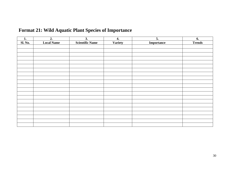| 1.             | $\overline{2}$ .  | $\overline{3}$ .       | 4.      | $\overline{5}$ . | 6.            |
|----------------|-------------------|------------------------|---------|------------------|---------------|
| <b>Sl. No.</b> | <b>Local Name</b> | <b>Scientific Name</b> | Variety | Importance       | <b>Trends</b> |
|                |                   |                        |         |                  |               |
|                |                   |                        |         |                  |               |
|                |                   |                        |         |                  |               |
|                |                   |                        |         |                  |               |
|                |                   |                        |         |                  |               |
|                |                   |                        |         |                  |               |
|                |                   |                        |         |                  |               |
|                |                   |                        |         |                  |               |
|                |                   |                        |         |                  |               |
|                |                   |                        |         |                  |               |
|                |                   |                        |         |                  |               |
|                |                   |                        |         |                  |               |
|                |                   |                        |         |                  |               |
|                |                   |                        |         |                  |               |
|                |                   |                        |         |                  |               |
|                |                   |                        |         |                  |               |
|                |                   |                        |         |                  |               |
|                |                   |                        |         |                  |               |
|                |                   |                        |         |                  |               |
|                |                   |                        |         |                  |               |
|                |                   |                        |         |                  |               |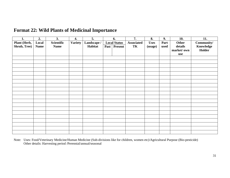| 1.           | 2.          | 3.          | 4.             | $\overline{5}$ . |             | 6.                  | $\overline{7}$ .  | 8.          | 9.   | 10.        | 11.        |
|--------------|-------------|-------------|----------------|------------------|-------------|---------------------|-------------------|-------------|------|------------|------------|
| Plant (Herb, | Local       | Scientific  | <b>Variety</b> | Landscape /      |             | <b>Local Status</b> | <b>Associated</b> | <b>Uses</b> | Part | Other      | Community/ |
| Shrub, Tree) | <b>Name</b> | <b>Name</b> |                | Habitat          | <b>Past</b> | Present             | TK                | (usage)     | used | details    | Knowledge  |
|              |             |             |                |                  |             |                     |                   |             |      | market/own | Holder     |
|              |             |             |                |                  |             |                     |                   |             |      | use        |            |
|              |             |             |                |                  |             |                     |                   |             |      |            |            |
|              |             |             |                |                  |             |                     |                   |             |      |            |            |
|              |             |             |                |                  |             |                     |                   |             |      |            |            |
|              |             |             |                |                  |             |                     |                   |             |      |            |            |
|              |             |             |                |                  |             |                     |                   |             |      |            |            |
|              |             |             |                |                  |             |                     |                   |             |      |            |            |
|              |             |             |                |                  |             |                     |                   |             |      |            |            |
|              |             |             |                |                  |             |                     |                   |             |      |            |            |
|              |             |             |                |                  |             |                     |                   |             |      |            |            |
|              |             |             |                |                  |             |                     |                   |             |      |            |            |
|              |             |             |                |                  |             |                     |                   |             |      |            |            |
|              |             |             |                |                  |             |                     |                   |             |      |            |            |
|              |             |             |                |                  |             |                     |                   |             |      |            |            |
|              |             |             |                |                  |             |                     |                   |             |      |            |            |
|              |             |             |                |                  |             |                     |                   |             |      |            |            |
|              |             |             |                |                  |             |                     |                   |             |      |            |            |
|              |             |             |                |                  |             |                     |                   |             |      |            |            |
|              |             |             |                |                  |             |                     |                   |             |      |            |            |
|              |             |             |                |                  |             |                     |                   |             |      |            |            |
|              |             |             |                |                  |             |                     |                   |             |      |            |            |

## **Format 22: Wild Plants of Medicinal Importance**

Note: Uses: Food/Veterinary Medicine/Human Medicine (Sub-divisions like for children, women etc)/Agricultural Purpose (Bio-pesticide) Other details: Harvesting period /Perennial/annual/seasonal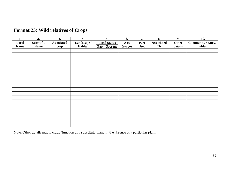| 1.          | 2.          | 3.                | 4.          | 5.                  | 6.          | 7.          | 8.                | 9.      | 10.                     |
|-------------|-------------|-------------------|-------------|---------------------|-------------|-------------|-------------------|---------|-------------------------|
| Local       | Scientific  | <b>Associated</b> | Landscape / | <b>Local Status</b> | <b>Uses</b> | Part        | <b>Associated</b> | Other   | <b>Community / Know</b> |
| <b>Name</b> | <b>Name</b> | crop              | Habitat     | Past Present        | (usage)     | <b>Used</b> | TK                | details | holder                  |
|             |             |                   |             |                     |             |             |                   |         |                         |
|             |             |                   |             |                     |             |             |                   |         |                         |
|             |             |                   |             |                     |             |             |                   |         |                         |
|             |             |                   |             |                     |             |             |                   |         |                         |
|             |             |                   |             |                     |             |             |                   |         |                         |
|             |             |                   |             |                     |             |             |                   |         |                         |
|             |             |                   |             |                     |             |             |                   |         |                         |
|             |             |                   |             |                     |             |             |                   |         |                         |
|             |             |                   |             |                     |             |             |                   |         |                         |
|             |             |                   |             |                     |             |             |                   |         |                         |
|             |             |                   |             |                     |             |             |                   |         |                         |
|             |             |                   |             |                     |             |             |                   |         |                         |
|             |             |                   |             |                     |             |             |                   |         |                         |
|             |             |                   |             |                     |             |             |                   |         |                         |
|             |             |                   |             |                     |             |             |                   |         |                         |
|             |             |                   |             |                     |             |             |                   |         |                         |
|             |             |                   |             |                     |             |             |                   |         |                         |
|             |             |                   |             |                     |             |             |                   |         |                         |
|             |             |                   |             |                     |             |             |                   |         |                         |
|             |             |                   |             |                     |             |             |                   |         |                         |

# **Format 23: Wild relatives of Crops**

Note: Other details may include 'function as a substitute plant' in the absence of a particular plant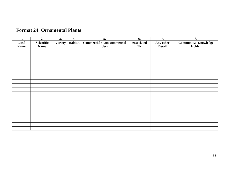| 1.          | 2.          | 3.             | 4.      | 5.                                 | 6.                | 7.        | 8.                          |
|-------------|-------------|----------------|---------|------------------------------------|-------------------|-----------|-----------------------------|
| Local       | Scientific  | <b>Variety</b> | Habitat | <b>Commercial / Non-commercial</b> | <b>Associated</b> | Any other | <b>Community/ Knowledge</b> |
| <b>Name</b> | <b>Name</b> |                |         | <b>Uses</b>                        | TK                | Detail    | Holder                      |
|             |             |                |         |                                    |                   |           |                             |
|             |             |                |         |                                    |                   |           |                             |
|             |             |                |         |                                    |                   |           |                             |
|             |             |                |         |                                    |                   |           |                             |
|             |             |                |         |                                    |                   |           |                             |
|             |             |                |         |                                    |                   |           |                             |
|             |             |                |         |                                    |                   |           |                             |
|             |             |                |         |                                    |                   |           |                             |
|             |             |                |         |                                    |                   |           |                             |
|             |             |                |         |                                    |                   |           |                             |
|             |             |                |         |                                    |                   |           |                             |
|             |             |                |         |                                    |                   |           |                             |
|             |             |                |         |                                    |                   |           |                             |
|             |             |                |         |                                    |                   |           |                             |
|             |             |                |         |                                    |                   |           |                             |
|             |             |                |         |                                    |                   |           |                             |
|             |             |                |         |                                    |                   |           |                             |
|             |             |                |         |                                    |                   |           |                             |
|             |             |                |         |                                    |                   |           |                             |
|             |             |                |         |                                    |                   |           |                             |
|             |             |                |         |                                    |                   |           |                             |

# **Format 24: Ornamental Plants**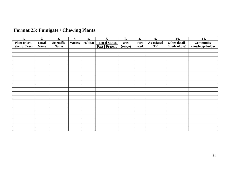| 1.           | 2.          | 3.          | 4.             | 5.      | 6.                     | 7.          | 8.   | 9.                | 10.           | 11.              |
|--------------|-------------|-------------|----------------|---------|------------------------|-------------|------|-------------------|---------------|------------------|
| Plant (Herb, | Local       | Scientific  | <b>Variety</b> | Habitat | <b>Local Status</b>    | <b>Uses</b> | Part | <b>Associated</b> | Other details | <b>Community</b> |
| Shrub, Tree) | <b>Name</b> | <b>Name</b> |                |         | <b>Present</b><br>Past | (usage)     | used | TK                | (mode of use) | knowledge holder |
|              |             |             |                |         |                        |             |      |                   |               |                  |
|              |             |             |                |         |                        |             |      |                   |               |                  |
|              |             |             |                |         |                        |             |      |                   |               |                  |
|              |             |             |                |         |                        |             |      |                   |               |                  |
|              |             |             |                |         |                        |             |      |                   |               |                  |
|              |             |             |                |         |                        |             |      |                   |               |                  |
|              |             |             |                |         |                        |             |      |                   |               |                  |
|              |             |             |                |         |                        |             |      |                   |               |                  |
|              |             |             |                |         |                        |             |      |                   |               |                  |
|              |             |             |                |         |                        |             |      |                   |               |                  |
|              |             |             |                |         |                        |             |      |                   |               |                  |
|              |             |             |                |         |                        |             |      |                   |               |                  |
|              |             |             |                |         |                        |             |      |                   |               |                  |
|              |             |             |                |         |                        |             |      |                   |               |                  |
|              |             |             |                |         |                        |             |      |                   |               |                  |
|              |             |             |                |         |                        |             |      |                   |               |                  |
|              |             |             |                |         |                        |             |      |                   |               |                  |
|              |             |             |                |         |                        |             |      |                   |               |                  |
|              |             |             |                |         |                        |             |      |                   |               |                  |
|              |             |             |                |         |                        |             |      |                   |               |                  |
|              |             |             |                |         |                        |             |      |                   |               |                  |

# **Format 25: Fumigate / Chewing Plants**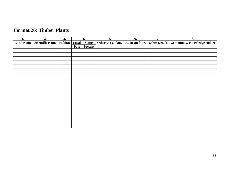| 1.                | 2.                                | 3. |      | 4.            | $\overline{5}$ .                                   | 6. | $\overline{7}$ . | 8.                                |
|-------------------|-----------------------------------|----|------|---------------|----------------------------------------------------|----|------------------|-----------------------------------|
| <b>Local Name</b> | Scientific Name   Habitat   Local |    |      | <b>Status</b> | Other Uses, if any   Associated TK   Other Details |    |                  | <b>Community/Knowledge Holder</b> |
|                   |                                   |    | Past | Present       |                                                    |    |                  |                                   |
|                   |                                   |    |      |               |                                                    |    |                  |                                   |
|                   |                                   |    |      |               |                                                    |    |                  |                                   |
|                   |                                   |    |      |               |                                                    |    |                  |                                   |
|                   |                                   |    |      |               |                                                    |    |                  |                                   |
|                   |                                   |    |      |               |                                                    |    |                  |                                   |
|                   |                                   |    |      |               |                                                    |    |                  |                                   |
|                   |                                   |    |      |               |                                                    |    |                  |                                   |
|                   |                                   |    |      |               |                                                    |    |                  |                                   |
|                   |                                   |    |      |               |                                                    |    |                  |                                   |
|                   |                                   |    |      |               |                                                    |    |                  |                                   |
|                   |                                   |    |      |               |                                                    |    |                  |                                   |
|                   |                                   |    |      |               |                                                    |    |                  |                                   |
|                   |                                   |    |      |               |                                                    |    |                  |                                   |
|                   |                                   |    |      |               |                                                    |    |                  |                                   |
|                   |                                   |    |      |               |                                                    |    |                  |                                   |
|                   |                                   |    |      |               |                                                    |    |                  |                                   |
|                   |                                   |    |      |               |                                                    |    |                  |                                   |
|                   |                                   |    |      |               |                                                    |    |                  |                                   |
|                   |                                   |    |      |               |                                                    |    |                  |                                   |
|                   |                                   |    |      |               |                                                    |    |                  |                                   |

## **Format 26: Timber Plants**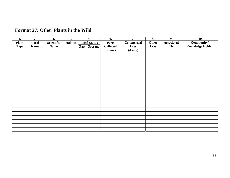| 1.                          | 2.                   | 3.                        | 4.      |             | 5.                                    | 6.                                           | 7.                                           | 8.                          | 9.               | 10.                                   |
|-----------------------------|----------------------|---------------------------|---------|-------------|---------------------------------------|----------------------------------------------|----------------------------------------------|-----------------------------|------------------|---------------------------------------|
| <b>Plant</b><br><b>Type</b> | Local<br><b>Name</b> | Scientific<br><b>Name</b> | Habitat | <b>Past</b> | <b>Local Status</b><br><b>Present</b> | <b>Parts</b><br><b>Collected</b><br>(if any) | <b>Commercial</b><br><b>Uses</b><br>(if any) | <b>Other</b><br><b>Uses</b> | Associated<br>TK | Community/<br><b>Knowledge Holder</b> |
|                             |                      |                           |         |             |                                       |                                              |                                              |                             |                  |                                       |
|                             |                      |                           |         |             |                                       |                                              |                                              |                             |                  |                                       |
|                             |                      |                           |         |             |                                       |                                              |                                              |                             |                  |                                       |
|                             |                      |                           |         |             |                                       |                                              |                                              |                             |                  |                                       |
|                             |                      |                           |         |             |                                       |                                              |                                              |                             |                  |                                       |
|                             |                      |                           |         |             |                                       |                                              |                                              |                             |                  |                                       |
|                             |                      |                           |         |             |                                       |                                              |                                              |                             |                  |                                       |
|                             |                      |                           |         |             |                                       |                                              |                                              |                             |                  |                                       |
|                             |                      |                           |         |             |                                       |                                              |                                              |                             |                  |                                       |
|                             |                      |                           |         |             |                                       |                                              |                                              |                             |                  |                                       |
|                             |                      |                           |         |             |                                       |                                              |                                              |                             |                  |                                       |
|                             |                      |                           |         |             |                                       |                                              |                                              |                             |                  |                                       |
|                             |                      |                           |         |             |                                       |                                              |                                              |                             |                  |                                       |
|                             |                      |                           |         |             |                                       |                                              |                                              |                             |                  |                                       |
|                             |                      |                           |         |             |                                       |                                              |                                              |                             |                  |                                       |
|                             |                      |                           |         |             |                                       |                                              |                                              |                             |                  |                                       |
|                             |                      |                           |         |             |                                       |                                              |                                              |                             |                  |                                       |
|                             |                      |                           |         |             |                                       |                                              |                                              |                             |                  |                                       |
|                             |                      |                           |         |             |                                       |                                              |                                              |                             |                  |                                       |
|                             |                      |                           |         |             |                                       |                                              |                                              |                             |                  |                                       |

# **Format 27: Other Plants in the Wild**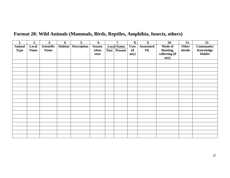| 1.                           | 2.                   | 3.                        | 4.      | 5.                 | 6.                            | 7.                                    |                             | 9.                      | 10.                                           | 11.              | 12.                               |
|------------------------------|----------------------|---------------------------|---------|--------------------|-------------------------------|---------------------------------------|-----------------------------|-------------------------|-----------------------------------------------|------------------|-----------------------------------|
| <b>Animal</b><br><b>Type</b> | Local<br><b>Name</b> | Scientific<br><b>Name</b> | Habitat | <b>Description</b> | <b>Season</b><br>when<br>seen | <b>Local Status</b><br>Past   Present | <b>Uses</b><br>(ii)<br>any) | <b>Associated</b><br>TK | Mode of<br>Hunting,<br>collecting (if<br>any) | Other<br>details | Community/<br>Knowledge<br>Holder |
|                              |                      |                           |         |                    |                               |                                       |                             |                         |                                               |                  |                                   |
|                              |                      |                           |         |                    |                               |                                       |                             |                         |                                               |                  |                                   |
|                              |                      |                           |         |                    |                               |                                       |                             |                         |                                               |                  |                                   |
|                              |                      |                           |         |                    |                               |                                       |                             |                         |                                               |                  |                                   |
|                              |                      |                           |         |                    |                               |                                       |                             |                         |                                               |                  |                                   |
|                              |                      |                           |         |                    |                               |                                       |                             |                         |                                               |                  |                                   |
|                              |                      |                           |         |                    |                               |                                       |                             |                         |                                               |                  |                                   |
|                              |                      |                           |         |                    |                               |                                       |                             |                         |                                               |                  |                                   |
|                              |                      |                           |         |                    |                               |                                       |                             |                         |                                               |                  |                                   |
|                              |                      |                           |         |                    |                               |                                       |                             |                         |                                               |                  |                                   |
|                              |                      |                           |         |                    |                               |                                       |                             |                         |                                               |                  |                                   |
|                              |                      |                           |         |                    |                               |                                       |                             |                         |                                               |                  |                                   |
|                              |                      |                           |         |                    |                               |                                       |                             |                         |                                               |                  |                                   |
|                              |                      |                           |         |                    |                               |                                       |                             |                         |                                               |                  |                                   |
|                              |                      |                           |         |                    |                               |                                       |                             |                         |                                               |                  |                                   |
|                              |                      |                           |         |                    |                               |                                       |                             |                         |                                               |                  |                                   |
|                              |                      |                           |         |                    |                               |                                       |                             |                         |                                               |                  |                                   |
|                              |                      |                           |         |                    |                               |                                       |                             |                         |                                               |                  |                                   |
|                              |                      |                           |         |                    |                               |                                       |                             |                         |                                               |                  |                                   |
|                              |                      |                           |         |                    |                               |                                       |                             |                         |                                               |                  |                                   |

# **Format 28: Wild Animals (Mammals, Birds, Reptiles, Amphibia, Insects, others)**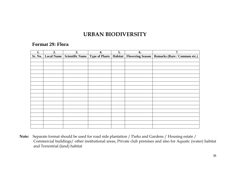# **URBAN BIODIVERSITY**

## **Format 29: Flora**

| 1. | 2.                   | 3. | 4. | 5. | 6. | 7.                                                                                           |
|----|----------------------|----|----|----|----|----------------------------------------------------------------------------------------------|
|    | Sr. No.   Local Name |    |    |    |    | Scientific Name   Type of Plants   Habitat   Flowering Season   Remarks (Rare / Common etc.) |
|    |                      |    |    |    |    |                                                                                              |
|    |                      |    |    |    |    |                                                                                              |
|    |                      |    |    |    |    |                                                                                              |
|    |                      |    |    |    |    |                                                                                              |
|    |                      |    |    |    |    |                                                                                              |
|    |                      |    |    |    |    |                                                                                              |
|    |                      |    |    |    |    |                                                                                              |
|    |                      |    |    |    |    |                                                                                              |
|    |                      |    |    |    |    |                                                                                              |
|    |                      |    |    |    |    |                                                                                              |
|    |                      |    |    |    |    |                                                                                              |
|    |                      |    |    |    |    |                                                                                              |
|    |                      |    |    |    |    |                                                                                              |
|    |                      |    |    |    |    |                                                                                              |
|    |                      |    |    |    |    |                                                                                              |
|    |                      |    |    |    |    |                                                                                              |
|    |                      |    |    |    |    |                                                                                              |
|    |                      |    |    |    |    |                                                                                              |

 **Note:** Separate format should be used for road side plantation / Parks and Gardens / Housing estate / Commercial buildings/ other institutional areas, Private club premises and also for Aquatic (water) habitat and Terrestrial (land) habitat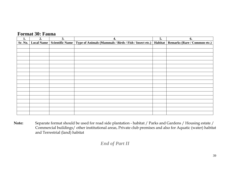## **Format 30: Fauna**

| 1.      | 2.                | 3.              | 4.                                                               | 5. | 6.                                  |
|---------|-------------------|-----------------|------------------------------------------------------------------|----|-------------------------------------|
| Sr. No. | <b>Local Name</b> | Scientific Name | Type of Animals (Mammals / Birds / Fish / Insect etc.)   Habitat |    | <b>Remarks (Rare / Common etc.)</b> |
|         |                   |                 |                                                                  |    |                                     |
|         |                   |                 |                                                                  |    |                                     |
|         |                   |                 |                                                                  |    |                                     |
|         |                   |                 |                                                                  |    |                                     |
|         |                   |                 |                                                                  |    |                                     |
|         |                   |                 |                                                                  |    |                                     |
|         |                   |                 |                                                                  |    |                                     |
|         |                   |                 |                                                                  |    |                                     |
|         |                   |                 |                                                                  |    |                                     |
|         |                   |                 |                                                                  |    |                                     |
|         |                   |                 |                                                                  |    |                                     |
|         |                   |                 |                                                                  |    |                                     |
|         |                   |                 |                                                                  |    |                                     |
|         |                   |                 |                                                                  |    |                                     |
|         |                   |                 |                                                                  |    |                                     |
|         |                   |                 |                                                                  |    |                                     |
|         |                   |                 |                                                                  |    |                                     |
|         |                   |                 |                                                                  |    |                                     |

**Note:** Separate format should be used for road side plantation - habitat / Parks and Gardens / Housing estate / Commercial buildings/ other institutional areas, Private club premises and also for Aquatic (water) habitat and Terrestrial (land) habitat

## *End of Part II*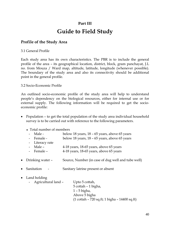# **Part III Guide to Field Study**

## **Profile of the Study Area**

## 3.1 General Profile

Each study area has its own characteristics. The PBR is to include the general profile of the area – its geographical location, district, block, gram panchayat, J.L no. from Mouza / Ward map, altitude, latitude, longitude (whenever possible). The boundary of the study area and also its connectivity should be additional point in the general profile.

3.2 Socio-Economic Profile

An outlined socio-economic profile of the study area will help to understand people's dependency on the biological resources, either for internal use or for external supply. The following information will be required to get the socioeconomic profile:

• Population – to get the total population of the study area individual household survey is to be carried out with reference to the following parameters.

♦ Total number of members

|           | Total Hamper of members |                                                                                 |
|-----------|-------------------------|---------------------------------------------------------------------------------|
|           | Male -                  | below 18 years, 18 – 65 years, above 65 years                                   |
|           | - Female -              | below 18 years, 18 – 65 years, above 65 years                                   |
|           | - Literacy rate         |                                                                                 |
|           | Male –                  | 4-18 years, 18-65 years, above 65 years                                         |
|           | - Female -              | 4-18 years, 18-65 years, above 65 years                                         |
|           | • Drinking water –      | Source, Number (in case of dug well and tube well)                              |
| $\bullet$ | Sanitation              | Sanitary latrine present or absent                                              |
|           | • Land holding          |                                                                                 |
|           | - Agricultural land -   | Upto 5 cottah,                                                                  |
|           |                         | 5 cottah – 1 bigha,                                                             |
|           |                         | $1 - 5$ bigha,                                                                  |
|           |                         | Above 5 bigha                                                                   |
|           |                         | $(1 \text{ cottah} - 720 \text{ sq.ft}; 1 \text{ bigha} - 14400 \text{ sq.ft})$ |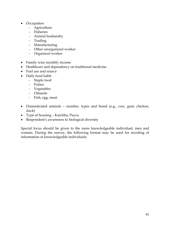- Occupation
	- Agriculture
	- Fisheries
	- Animal husbandry
	- Trading
	- Manufacturing
	- Other unorganized worker
	- Organized worker
- Family wise monthly income
- Healthcare and dependency on traditional medicine
- Fuel use and source
- Daily food habit
	- Staple food
		- Pulses
		- Vegetables
		- Oilseeds
		- Fish, egg, meat
- Domesticated animals number, types and breed (e.g., cow, goat, chicken, duck)
- Type of housing Kutchha, Pucca
- Respondent's awareness to biological diversity

Special focus should be given to the more knowledgeable individual, men and women. During the survey, the following format may be used for recoding of information of knowledgeable individuals: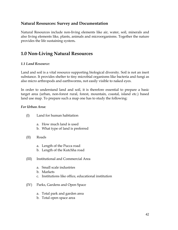## **Natural Resources: Survey and Documentation**

Natural Resources include non-living elements like air, water, soil, minerals and also living elements like, plants, animals and microorganisms. Together the nature provides the life sustaining system**.** 

## **1.0 Non-Living Natural Resources**

## *1.1 Land Resource:*

Land and soil is a vital resource supporting biological diversity. Soil is not an inert substance. It provides shelter to tiny microbial organisms like bacteria and fungi as also micro arthropods and earthworms, not easily visible to naked eyes.

In order to understand land and soil, it is therefore essential to prepare a basic target area (urban, non-forest rural, forest, mountain, coastal, island etc.) based land use map. To prepare such a map one has to study the following:

#### *For Urban Area:*

| (I) | Land for human habitation |
|-----|---------------------------|
|-----|---------------------------|

- a. How much land is used
- b. What type of land is preferred
- (II) Roads
	- a. Length of the Pucca road
	- b. Length of the Kutchha road
- (III) Institutional and Commercial Area
	- a. Small scale industries
	- b. Markets
	- c. Institutions like office, educational institution
- (IV) Parks, Gardens and Open Space
	- a. Total park and garden area
	- b. Total open space area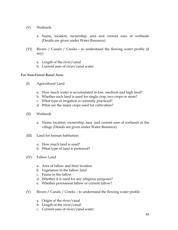- (V) Wetlands
	- a. Name, location, ownership, area and current uses of wetlands (Details are given under Water Resource)
- (VI) Rivers / Canals / Creeks to understand the flowing water profile (if any)
	- a. Length of the river/canal
	- b. Current uses of river/canal water

#### *For Non-Forest Rural Area:*

- (I) Agricultural Land
	- a. How much water is accumulated in low, medium and high land?
	- b. Whether such land is used for single crop, two crops or more?
	- c. What type of irrigation is currently practiced?
	- d. What are the major crops used for cultivation?
- (II) Wetlands
	- a. Name, location, ownership, area and current uses of wetlands in the village (Details are given under Water Resource)
- (III) Land for human habitation
	- a. How much land is used?
	- b. What type of land is preferred?
- (IV) Fallow Land
	- a. Area of fallow and their location
	- b. Vegetation in the fallow land
	- c. Fauna in the fallow
	- d. Whether it is used for any religious purposes?
	- e. Whether permanent fallow or current fallow?
- (V) Rivers / Canals / Creeks to understand the flowing water profile
	- a. Origin of the river/canal
	- b. Length of the river/canal
	- c. Current uses of river/canal water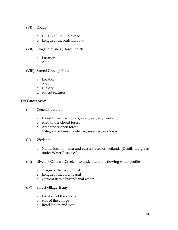#### (VI) Roads

- a. Length of the Pucca road
- b. Length of the Kutchha road
- (VII) Jungle / bushes / forest patch
	- a. Location
	- b. Area
- (VIII) Sacred Grove / Pond
	- a. Location
	- b. Area
	- c. History
	- d. Salient features

#### *For Forest Area:*

- (I) General features
	- a. Forest types (Deciduous, evergreen, dry, wet etc.)
	- b. Area under closed forest
	- c. Area under open forest
	- d. Category of forest (protected, reserved, unclassed)
- (II) Wetlands
	- a. Name, location, area and current uses of wetlands (Details are given under Water Resource)
- (III) Rivers / Canals / Creeks to understand the flowing water profile
	- a. Origin of the river/canal
	- b. Length of the river/canal
	- c. Current uses of river/canal water
- (IV) Forest village, if any
	- a. Location of the village
	- b. Size of the village
	- c. Road length and type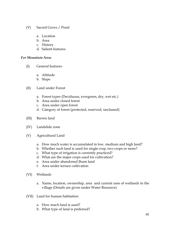- (V) Sacred Grove / Pond
	- a. Location
	- b. Area
	- c. History
	- d. Salient features

#### *For Mountain Area:*

- (I) General features
	- a. Altitude
	- b. Slope
- (II) Land under Forest
	- a. Forest types (Deciduous, evergreen, dry, wet etc.)
	- b. Area under closed forest
	- c. Area under open forest
	- d. Category of forest (protected, reserved, unclassed)
- (III) Barren land
- (IV) Landslide zone
- (V) Agricultural Land
	- a. How much water is accumulated in low, medium and high land?
	- b. Whether such land is used for single crop, two crops or more?
	- c. What type of irrigation is currently practiced?
	- d. What are the major crops used for cultivation?
	- e. Area under abandoned Jhum land
	- f. Area under terrace cultivation
- (VI) Wetlands
	- a. Name, location, ownership, area and current uses of wetlands in the village (Details are given under Water Resource)
- (VII) Land for human habitation
	- a. How much land is used?
	- b. What type of land is preferred?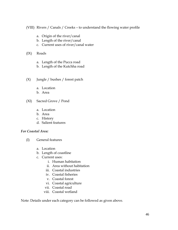(VIII) Rivers / Canals / Creeks – to understand the flowing water profile

- a. Origin of the river/canal
- b. Length of the river/canal
- c. Current uses of river/canal water
- (IX) Roads
	- a. Length of the Pucca road
	- b. Length of the Kutchha road
- (X) Jungle / bushes / forest patch
	- a. Location
	- b. Area
- (XI) Sacred Grove / Pond
	- a. Location
	- b. Area
	- c. History
	- d. Salient features

#### *For Coastal Area:*

- (I) General features
	- a. Location
	- b. Length of coastline
	- c. Current uses:
		- i. Human habitation
		- ii. Area without habitation
		- iii. Coastal industries
		- iv. Coastal fisheries
		- v. Coastal forest
		- vi. Coastal agriculture
		- vii. Coastal road
		- viii. Coastal wetland

Note: Details under each category can be followed as given above.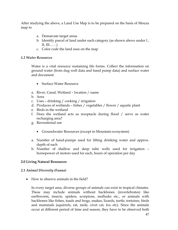After studying the above, a Land Use Map is to be prepared on the basis of Mouza map to

- a. Demarcate target areas
- b. Identify parcel of land under each category (as shown above under I ,  $II, III, \ldots$ .)
- c. Color code the land uses on the map

## *1.2 Water Resources*

Water is a vital resource sustaining life forms. Collect the information on ground water (from dug well data and hand pump data) and surface water and document

- Surface Water Resource
- a. River, Canal, Wetland location / name
- b. Area
- c. Uses drinking / cooking / irrigation
- d. Produces of wetlands fishes / vegetables / flower / aquatic plant
- e. Birds in the wetland
- f. Does the wetland acts as receptacle during flood / serve as water recharging area?
- g. Recreational use
	- Groundwater Resources (except in Mountain ecosystem)
- a. Number of hand-pumps used for lifting drinking water and approx. depth of each
- b. Number of shallow and deep tube wells used for irrigation horsepower of motors used for each, hours of operation per day

## **2.0 Living Natural Resources**

## *2.1 Animal Diversity (Fauna)*

• How to observe animals in the field?

In every target area, diverse groups of animals can exist in tropical climates. These may include animals without backbones (invertebrates) like earthworm, insects, spiders, scorpions, mollusks etc., or animals with backbones like fishes, toads and frogs, snakes, lizards, turtle, tortoises, birds and mammals (squirrels, rat, mole, civet cat, fox etc). Since the animals occur at different period of time and season, they have to be observed both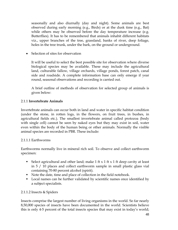seasonally and also diurnally (day and night). Some animals are best observed during early morning (e.g., Birds) or at the dusk time (e.g., Bat) while others may be observed before the day temperature increase (e.g. Butterflies). It has to be remembered that animals inhabit different habitats viz., upper branches of the tree, grassland, banks of river, deep foliage, holes in the tree trunk, under the bark, on the ground or underground.

• Selection of sites for observation

It will be useful to select the best possible site for observation where diverse biological species may be available. These may include the agricultural land, culturable fallow, village orchards, village ponds, forest patch, canal side and roadside. A complete information base can only emerge if year round, seasonal observations and recording is carried out.

A brief outline of methods of observation for selected group of animals is given below:

## 2.1.1 **Invertebrate Animals**

Invertebrate animals can occur both in land and water in specific habitat condition (under the stone, in rotten logs, in the flowers, on fruit trees, in bushes, in agricultural fields etc.). The smallest invertebrate animal called protozoa (body with single cell) cannot be seen by naked eyes but they may exist in soil, water even within the body of the human being or other animals. Normally the visible animal species are recorded in PBR. These include:

## 2.1.1.1 Earthworms

Earthworms normally live in mineral rich soil. To observe and collect earthworm specimen:

- Select agricultural and other land; make  $1$  ft  $x$   $1$  ft  $x$   $1$  ft deep cavity at least in 5 / 10 places and collect earthworm sample in small plastic glass vial containing 70-80 percent alcohol (spirit).
- Note the date, time and place of collection in the field notebook.
- Local names can be further validated by scientific names once identified by a subject specialists.

## 2.1.1.2 Insects & Spiders

Insects comprise the largest number of living organisms in the world. So far nearly 8,50,000 species of insects have been documented in the world. Scientists believe this is only 4-5 percent of the total insects species that may exist in today's world;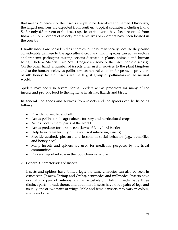that means 95 percent of the insects are yet to be described and named. Obviously, the largest numbers are expected from southern tropical countries including India. So far only 6.5 percent of the insect species of the world have been recorded from India. Out of 29 orders of insects, representatives of 27 orders have been located in the country.

Usually insects are considered as enemies to the human society because they cause considerable damage to the agricultural crop and many species can act as vectors and transmit pathogens causing serious diseases in plants, animals and human being (Cholera, Malaria, Kala Azar, Dengue are some of the insect borne diseases). On the other hand, a number of insects offer useful services to the plant kingdom and to the human society as pollinators, as natural enemies for pests, as providers of silk, honey, lac etc. Insects are the largest group of pollinators in the natural world.

Spiders may occur in several forms. Spiders act as predators for many of the insects and provide food to the higher animals like lizards and birds.

In general, the goods and services from insects and the spiders can be listed as follows:

- Provide honey, lac and silk.
- Act as pollinators in agriculture, forestry and horticultural crops.
- Act as food in many parts of the world.
- Act as predator for pest insects (larva of Lady bird beetle)
- Help to increase fertility of the soil (soil inhabiting insects)
- Provide aesthetic pleasure and lessons in social behavior (e.g., butterflies and honey bees)
- Many insects and spiders are used for medicinal purposes by the tribal communities
- Play an important role in the food chain in nature.
- $\triangleright$  General Characteristics of Insects

Insects and spiders have jointed legs; the same character can also be seen in crustacean (Prawn, Shrimp and Crabs), centipedes and millipedes. Insects have normally a pair of antenna and an exoskeleton. Adult insects have three distinct parts – head, thorax and abdomen. Insects have three pairs of legs and usually one or two pairs of wings. Male and female insects may vary in colour, shape and size.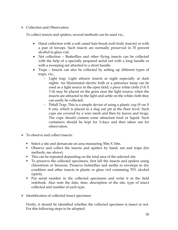## ¾ Collection and Observation

To collect insects and spiders, several methods can be used viz.,

- Hand collection with a soft camel hair-brush (soft body insects) or with a pair of forceps. Such insects are normally preserved in 70 percent alcohol in glass vial.
- Net collection Butterflies and other flying insects can be collected with the help of a specially prepared aerial net with a long handle or with a sweeping net attached to a short handle.
- Traps Insects can also be collected by setting up different types of traps, viz.,
	- − Light trap: Light attracts insects at night especially at dark nights. An illuminated electric bulb or a petromax lamp can be used as a light source in the open field; a piece white cloth (3 ft X 3 ft) may be placed on the grass near the light source; when the insects are attracted to the light and settle on the white cloth they can easily be collected.
	- − Pitfall Trap: This is a simple devise of using a plastic cup (9 cm X 8 cm), which is placed in a dug out pit at the floor level. Such cups are covered by a wire mesh and then by leaves and twigs. The cups should contain some attractant food or liquid. Such containers should be kept for 3-days and then taken out for observation.
- $\triangleright$  To observe and collect insects:
	- Select a site and demarcate an area measuring 50m X 10m.
	- Observe and collect the insects and spiders by hand, net and traps (for methods, see above).
	- This can be repeated depending on the total area of the selected site.
	- To preserve the collected specimens, first kill the insects and spiders using chloroform or benzene. Preserve butterflies and moths in envelops in dry condition and other insects in plastic or glass viol containing 70% alcohol (spirit).
	- Put serial number in the collected specimens and write it in the field notebook. Also note the date, time, description of the site, type of insect collected and number of each type.
- ¾ Identification of collected insect specimen:

Firstly, it should be identified whether the collected specimen is insect or not. For this following steps to be adopted: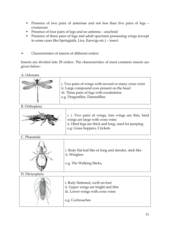- **Presence of two pairs of antennae and not less than five pairs of legs** crustacean
- **Presence of four pairs of legs and no antenna arachnid**
- **Presence of three pairs of legs and adult specimen possessing wings (except**) in some cases like Springtails, Lice, Earwigs etc.) – insect

¾ Characteristics of insects of different orders:

Insects are divided into 29 orders. The characteristics of most common insects are given below:

A. Odonata:



B. Orthoptera



i. i. Two pairs of wings, fore wings are thin, hind wings are large with cross veins ii. Hind legs are thick and long, used for jumping e.g. Grass hoppers, Crickets

C. Phasmida

| i. Body flat leaf like or long and slender, stick like<br>ii. Wingless |
|------------------------------------------------------------------------|
| e.g. The Walking Sticks,                                               |

D. Dictyoptera

| i. Body flattened, swift on foot<br>ii. Upper wings are bright and thin<br>iii. Lower wings with cross veins |
|--------------------------------------------------------------------------------------------------------------|
| e.g. Cockroaches                                                                                             |
|                                                                                                              |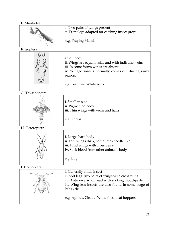## E. Mantodea

|                 | i. Two pairs of wings present                                                                                                                                                                                |  |  |
|-----------------|--------------------------------------------------------------------------------------------------------------------------------------------------------------------------------------------------------------|--|--|
|                 | ii. Front legs adapted for catching insect preys                                                                                                                                                             |  |  |
| SE PARA         | e.g. Praying Mantis                                                                                                                                                                                          |  |  |
| F. Isoptera     |                                                                                                                                                                                                              |  |  |
|                 | i. Soft body<br>ii. Wings are equal in size and with indistinct veins<br>iii. In some forms wings are absent.<br>iv. Winged insects normally comes out during rainy<br>season.<br>e.g. Termites, White Ants  |  |  |
| G. Thysanoptera |                                                                                                                                                                                                              |  |  |
|                 | i. Small in size<br>ii. Pigmented body<br>iii. Thin wings with veins and hairs                                                                                                                               |  |  |
|                 | e.g. Thrips                                                                                                                                                                                                  |  |  |
| H. Heteroptera  |                                                                                                                                                                                                              |  |  |
|                 | i. Large, hard body<br>ii. Fore wings thick, sometimes needle like<br>iii. Hind wings with cross veins<br>iv. Suck blood from other animal's body<br>e.g. Bug                                                |  |  |
| I. Homoptera    |                                                                                                                                                                                                              |  |  |
|                 | i. Generally small insect<br>ii. Soft legs, two pairs of wings with cross veins<br>iii. Anterior part of head with sucking mouthparts<br>iv. Wing less insects are also found in some stage of<br>life cycle |  |  |
|                 | e.g. Aphids, Cicada, White flies, Leaf hoppers                                                                                                                                                               |  |  |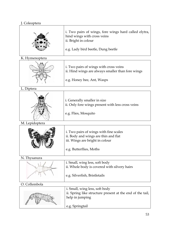## J. Coleoptera

|                | i. Two pairs of wings, fore wings hard called elytra,<br>hind wings with cross veins<br>ii. Bright in colour<br>e.g. Lady bird beetle, Dung beetle |  |  |
|----------------|----------------------------------------------------------------------------------------------------------------------------------------------------|--|--|
| K. Hymenoptera |                                                                                                                                                    |  |  |
|                | i. Two pairs of wings with cross veins<br>ii. Hind wings are always smaller than fore wings<br>e.g. Honey bee, Ant, Wasps                          |  |  |
| L. Diptera     |                                                                                                                                                    |  |  |
|                | i. Generally smaller in size<br>ii. Only fore wings present with less cross veins<br>e.g. Flies, Mosquito                                          |  |  |
| M. Lepidoptera |                                                                                                                                                    |  |  |
|                | i. Two pairs of wings with fine scales<br>ii. Body and wings are thin and flat<br>iii. Wings are bright in colour<br>e.g. Butterflies, Moths       |  |  |
| N. Thysanura   |                                                                                                                                                    |  |  |
|                | i. Small, wing less, soft body<br>ii. Whole body is covered with silvery hairs<br>e.g. Silverfish, Bristletails                                    |  |  |
| O. Collembola  |                                                                                                                                                    |  |  |
|                | i. Small, wing less, soft body<br>ii. Spring like structure present at the end of the tail,<br>help in jumping<br>e.g. Springtail                  |  |  |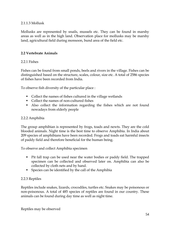#### 2.1.1.3 Mollusk

Mollusks are represented by snails, mussels etc. They can be found in marshy areas as well as in the high land. Observation place for mollusks may be marshy land, agricultural field during monsoon, bund area of the field etc.

## **2.2 Vertebrate Animals**

#### 2.2.1 Fishes

Fishes can be found from small ponds, beels and rivers in the village. Fishes can be distinguished based on the structure, scales, colour, size etc. A total of 2586 species of fishes have been recorded from India.

To observe fish diversity of the particular place :

- Collect the names of fishes cultured in the village wetlands
- Collect the names of non-cultured fishes
- Also collect the information regarding the fishes which are not found nowadays from elderly people

## 2.2.2 Amphibia

The group amphibian is represented by frogs, toads and newts. They are the cold blooded animals. Night time is the best time to observe Amphibia. In India about 209 species of amphibians have been recorded. Frogs and toads eat harmful insects of paddy field and therefore beneficial for the human being.

To observe and collect Amphibia specimen

- Pit fall trap can be used near the water bodies or paddy field. The trapped specimen can be collected and observed later on. Amphibia can also be collected by cloth nets and by hand.
- Species can be identified by the call of the Amphibia

## 2.2.3 Reptiles

Reptiles include snakes, lizards, crocodiles, turtles etc. Snakes may be poisonous or non-poisonous. A total of 485 species of reptiles are found in our country. These animals can be found during day time as well as night time.

Reptiles may be observed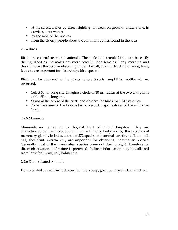- at the selected sites by direct sighting (on trees, on ground, under stone, in crevices, near water)
- by the molt of the snakes
- from the elderly people about the common reptiles found in the area

## 2.2.4 Birds

Birds are colorful feathered animals. The male and female birds can be easily distinguished as the males are more colorful than females. Early morning and dusk time are the best for observing birds. The call, colour, structure of wing, beak, legs etc. are important for observing a bird species.

Birds can be observed at the places where insects, amphibia, reptiles etc are observed.

- Select 50 m., long site. Imagine a circle of 10 m., radius at the two end points of the 50 m., long site.
- Stand at the centre of the circle and observe the birds for 10-15 minutes.
- Note the name of the known birds. Record major features of the unknown birds.

## 2.2.5 Mammals

Mammals are placed at the highest level of animal kingdom. They are characterized as warm-blooded animals with hairy body and by the presence of mammary glands. In India, a total of 372 species of mammals are found. The smell, call, foot-print, excreta etc., are important for observing mammalian species. Generally most of the mammalian species come out during night. Therefore for direct observation, night time is preferred. Indirect information may be collected from their foot-print, call, habitat etc.

## 2.2.6 Domesticated Animals

Domesticated animals include cow, buffalo, sheep, goat, poultry chicken, duck etc.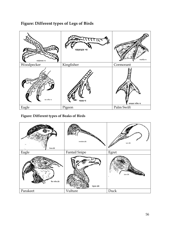

## **Figure: Different types of Legs of Birds**

**Figure: Different types of Beaks of Birds** 

| <b>AOT</b><br>षेश्वरणत दौड़ि | कामाट्यांठाव टोंगे | बरुवन दौड़ि |
|------------------------------|--------------------|-------------|
| Eagle                        | Fantail Snipe      | Egret       |
| টিয়া পাখির ঠোঁট             | শকুনের ঠোঁট        |             |
| Parakeet                     | Vulture            | Duck        |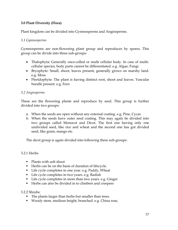## **3.0 Plant Diversity (Flora)**

Plant kingdom can be divided into Gymnosperms and Angiosperms.

## *3.1 Gymnosperms*

Gymnosperms are non-flowering plant group and reproduces by spores. This group can be divide into three sub-groups:

- Thalophyta: Generally once-celled or multi cellular body. In case of multicellular species, body parts cannot be differentiated. e.g. Algae, Fungi
- Bryophyte: Small, shoot, leaves present, generally grows on marshy land. e.g. Moss
- Pteridophyte: The plant is having distinct root, shoot and leaves. Vascular bundle present. e.g. Fern

## *3.2 Angiosperms*

These are the flowering plants and reproduce by seed. This group is further divided into two groups:

- a. When the seeds are open without any external coating. e.g. Pine, Cycas
- b. When the seeds have outer seed coating. This may again be divided into two groups called Monocot and Dicot. The first one having only one undivided seed, like rice and wheat and the second one has got divided seed, like gram, mango etc.

The dicot group is again divided into following three sub-groups:

3.2.1 Herbs:

- Plants with soft shoot
- Herbs can be on the basis of duration of lifecycle.
- Life cycle completes in one year. e.g. Paddy, Wheat
- Life cycle completes in two years. e.g. Radish
- Life cycle completes in more than two years. e.g. Ginger
- Herbs can also be divided in to climbers and creepers

3.2.2 Shrubs:

- The plants larger than herbs but smaller than trees.
- Woody stem, medium height, branched. e.g. China rose,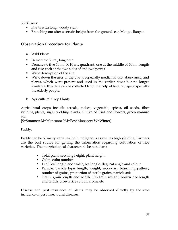3.2.3 Trees:

- Plants with long, woody stem.
- Branching out after a certain height from the ground. e.g. Mango, Banyan

## **Observation Procedure for Plants**

- a. Wild Plants:
- Demarcate 50 m., long area
- Demarcate five 10 m.,  $X$  10 m., quadrant, one at the middle of 50 m., length and two each at the two sides of end two points
- **Write description of the site**
- Write down the uses of the plants especially medicinal use, abundance, and plants, which were present and used in the earlier times but no longer available. this data can be collected from the help of local villagers specially the elderly people.
- b. Agricultural Crop Plants

Agricultural crops include cereals, pulses, vegetable, spices, oil seeds, fiber yielding plants, sugar yielding plants, cultivated fruit and flowers, green manure etc.

[S=Summer; M=Monsoon; PM=Post Monsoon; W=Winter]

Paddy:

Paddy can be of many varieties, both indigenous as well as high yielding. Farmers are the best source for getting the information regarding cultivation of rice varieties. The morphological characters to be noted are:

- Total plant: seedling height, plant height
- Culm: culm number
- Leaf: leaf length and width, leaf angle, flag leaf angle and colour
- Panicle: panicle type, length, weight, secondary branching pattern, number of grains, proportion of sterile grains, panicle axis
- Grain: grain length and width, 100-grain weight, brown rice length and width, brown rice colour, aroma etc

Disease and pest resistance of plants may be observed directly by the rate incidence of pest insects and diseases.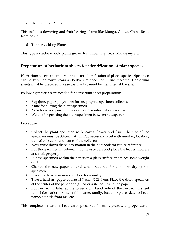## c. Horticultural Plants

This includes flowering and fruit-bearing plants like Mango, Guava, China Rose, Jasmine etc.

d. Timber yielding Plants

This type includes woody plants grown for timber. E.g. Teak, Mahogany etc.

## **Preparation of herbarium sheets for identification of plant species**

Herbarium sheets are important tools for identification of plants species. Specimen can be kept for many years as herbarium sheet for future research. Herbarium sheets must be prepared in case the plants cannot be identified at the site.

Following materials are needed for herbarium sheet preparation:

- Bag (jute, paper, polythene) for keeping the specimen collected
- Knife for cutting the plant specimen
- Note book and pencil for note down the information required
- Weight for pressing the plant specimen between newspapers

Procedure:

- Collect the plant specimen with leaves, flower and fruit. The size of the specimen must be 30 cm. x 20cm. Put necessary label with number, location, date of collection and name of the collector.
- Now write down these information in the notebook for future reference
- Put the specimen in between two newspapers and place the leaves, flowers and fruit properly
- Put the specimen within the paper on a plain surface and place some weight on it
- Change the newspaper as and when required for complete drying the specimen.
- Place the dried specimen outdoor for sun-drying
- Take a hard art paper of size 41.7 cm., X 26.5 cm. Place the dried specimen at the center of the paper and glued or stitched it with the paper.
- Put herbarium label at the lower right hand side of the herbarium sheet with information like scientific name, family, location/place, date, collects name, altitude from msl etc.

This complete herbarium sheet can be preserved for many years with proper care.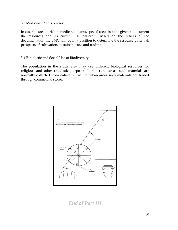#### 3.3 Medicinal Plants Survey

In case the area in rich in medicinal plants, special focus is to be given to document the resources and its current use pattern. Based on the results of the documentation the BMC will be in a position to determine the resource potential, prospects of cultivation, sustainable use and trading.

## 3.4 Ritualistic and Social Use of Biodiversity

The population in the study area may use different biological resources for religious and other ritualistic purposes. In the rural areas, such materials are normally collected from nature but in the urban areas such materials are traded through commercial stores.



*End of Part III*